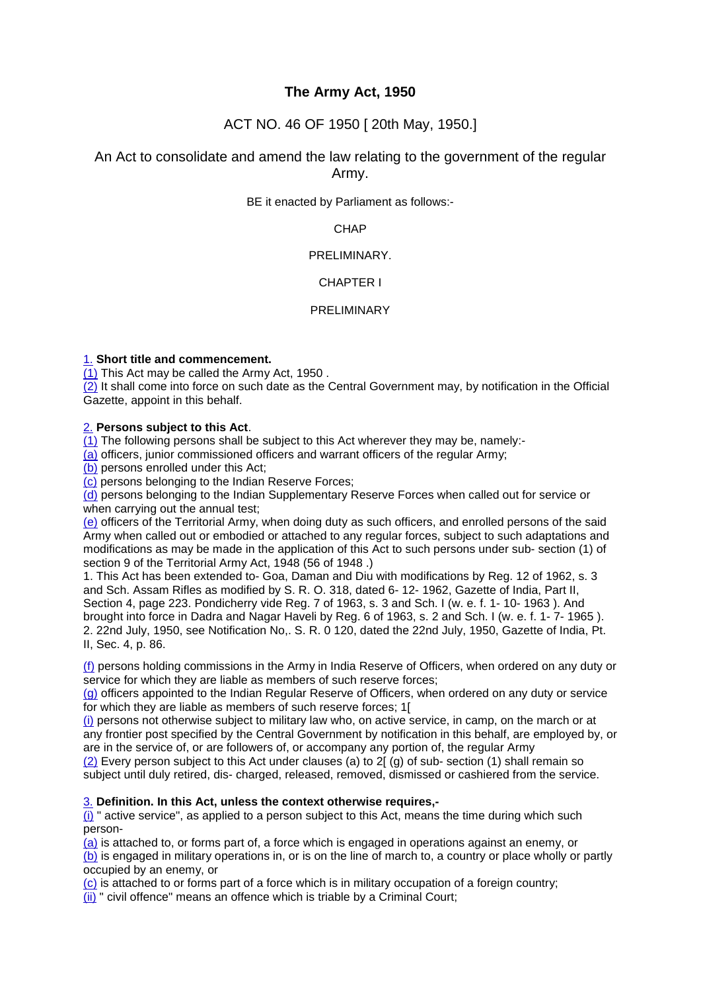# **The Army Act, 1950**

# ACT NO. 46 OF 1950 [ 20th May, 1950.]

# An Act to consolidate and amend the law relating to the government of the regular Army.

BE it enacted by Parliament as follows:-

**CHAP** 

# PRELIMINARY.

# CHAPTER I

# PRELIMINARY

# 1. **Short title and commencement.**

(1) This Act may be called the Army Act, 1950 .

 $\overline{(2)}$  It shall come into force on such date as the Central Government may, by notification in the Official Gazette, appoint in this behalf.

# 2. **Persons subject to this Act**.

(1) The following persons shall be subject to this Act wherever they may be, namely:-

(a) officers, junior commissioned officers and warrant officers of the regular Army;

(b) persons enrolled under this Act;

(c) persons belonging to the Indian Reserve Forces;

(d) persons belonging to the Indian Supplementary Reserve Forces when called out for service or when carrying out the annual test:

(e) officers of the Territorial Army, when doing duty as such officers, and enrolled persons of the said Army when called out or embodied or attached to any regular forces, subject to such adaptations and modifications as may be made in the application of this Act to such persons under sub- section (1) of section 9 of the Territorial Army Act, 1948 (56 of 1948 .)

1. This Act has been extended to- Goa, Daman and Diu with modifications by Reg. 12 of 1962, s. 3 and Sch. Assam Rifles as modified by S. R. O. 318, dated 6- 12- 1962, Gazette of India, Part II, Section 4, page 223. Pondicherry vide Reg. 7 of 1963, s. 3 and Sch. I (w. e. f. 1- 10- 1963 ). And brought into force in Dadra and Nagar Haveli by Reg. 6 of 1963, s. 2 and Sch. I (w. e. f. 1- 7- 1965 ). 2. 22nd July, 1950, see Notification No,. S. R. 0 120, dated the 22nd July, 1950, Gazette of India, Pt. II, Sec. 4, p. 86.

(f) persons holding commissions in the Army in India Reserve of Officers, when ordered on any duty or service for which they are liable as members of such reserve forces;

(g) officers appointed to the Indian Regular Reserve of Officers, when ordered on any duty or service for which they are liable as members of such reserve forces; 1[

(i) persons not otherwise subject to military law who, on active service, in camp, on the march or at any frontier post specified by the Central Government by notification in this behalf, are employed by, or are in the service of, or are followers of, or accompany any portion of, the regular Army (2) Every person subject to this Act under clauses (a) to 2[ (g) of sub- section (1) shall remain so

subject until duly retired, dis- charged, released, removed, dismissed or cashiered from the service.

# 3. **Definition. In this Act, unless the context otherwise requires,-**

(i) " active service", as applied to a person subject to this Act, means the time during which such person-

(a) is attached to, or forms part of, a force which is engaged in operations against an enemy, or

(b) is engaged in military operations in, or is on the line of march to, a country or place wholly or partly occupied by an enemy, or

(c) is attached to or forms part of a force which is in military occupation of a foreign country;

(ii) " civil offence" means an offence which is triable by a Criminal Court;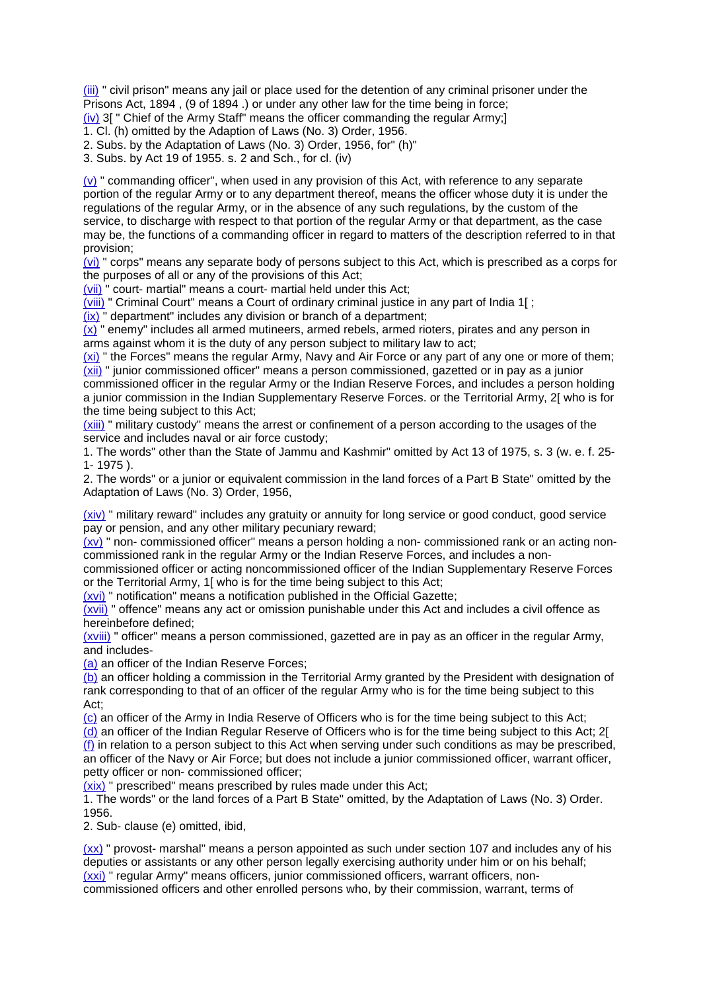(iii) " civil prison" means any jail or place used for the detention of any criminal prisoner under the Prisons Act, 1894 , (9 of 1894 .) or under any other law for the time being in force;

(iv) 3[ " Chief of the Army Staff" means the officer commanding the regular Army;]

1. Cl. (h) omitted by the Adaption of Laws (No. 3) Order, 1956.

2. Subs. by the Adaptation of Laws (No. 3) Order, 1956, for" (h)"

3. Subs. by Act 19 of 1955. s. 2 and Sch., for cl. (iv)

 $(v)$  " commanding officer", when used in any provision of this Act, with reference to any separate portion of the regular Army or to any department thereof, means the officer whose duty it is under the regulations of the regular Army, or in the absence of any such regulations, by the custom of the service, to discharge with respect to that portion of the regular Army or that department, as the case may be, the functions of a commanding officer in regard to matters of the description referred to in that provision;

(vi) " corps" means any separate body of persons subject to this Act, which is prescribed as a corps for the purposes of all or any of the provisions of this Act;

(vii) " court- martial" means a court- martial held under this Act;

(viii) " Criminal Court" means a Court of ordinary criminal justice in any part of India 1[ ;

(ix) " department" includes any division or branch of a department;

 $(x)$  " enemy" includes all armed mutineers, armed rebels, armed rioters, pirates and any person in arms against whom it is the duty of any person subject to military law to act;

(xi) " the Forces" means the regular Army, Navy and Air Force or any part of any one or more of them; (xii) " junior commissioned officer" means a person commissioned, gazetted or in pay as a junior

commissioned officer in the regular Army or the Indian Reserve Forces, and includes a person holding a junior commission in the Indian Supplementary Reserve Forces. or the Territorial Army, 2[ who is for the time being subject to this Act;

(xiii) " military custody" means the arrest or confinement of a person according to the usages of the service and includes naval or air force custody;

1. The words" other than the State of Jammu and Kashmir" omitted by Act 13 of 1975, s. 3 (w. e. f. 25- 1- 1975 ).

2. The words" or a junior or equivalent commission in the land forces of a Part B State" omitted by the Adaptation of Laws (No. 3) Order, 1956,

(xiv) " military reward" includes any gratuity or annuity for long service or good conduct, good service pay or pension, and any other military pecuniary reward;

(xv) " non- commissioned officer" means a person holding a non- commissioned rank or an acting noncommissioned rank in the regular Army or the Indian Reserve Forces, and includes a non-

commissioned officer or acting noncommissioned officer of the Indian Supplementary Reserve Forces or the Territorial Army, 1[ who is for the time being subject to this Act;

(xvi) " notification" means a notification published in the Official Gazette;

(xvii) " offence" means any act or omission punishable under this Act and includes a civil offence as hereinbefore defined;

(xviii) " officer" means a person commissioned, gazetted are in pay as an officer in the regular Army, and includes-

(a) an officer of the Indian Reserve Forces;

(b) an officer holding a commission in the Territorial Army granted by the President with designation of rank corresponding to that of an officer of the regular Army who is for the time being subject to this Act;

(c) an officer of the Army in India Reserve of Officers who is for the time being subject to this Act;

(d) an officer of the Indian Regular Reserve of Officers who is for the time being subject to this Act; 2[  $(f)$  in relation to a person subject to this Act when serving under such conditions as may be prescribed, an officer of the Navy or Air Force; but does not include a junior commissioned officer, warrant officer, petty officer or non- commissioned officer;

(xix) " prescribed" means prescribed by rules made under this Act;

1. The words" or the land forces of a Part B State" omitted, by the Adaptation of Laws (No. 3) Order. 1956.

2. Sub- clause (e) omitted, ibid,

(xx) " provost- marshal" means a person appointed as such under section 107 and includes any of his deputies or assistants or any other person legally exercising authority under him or on his behalf; (xxi) " regular Army" means officers, junior commissioned officers, warrant officers, noncommissioned officers and other enrolled persons who, by their commission, warrant, terms of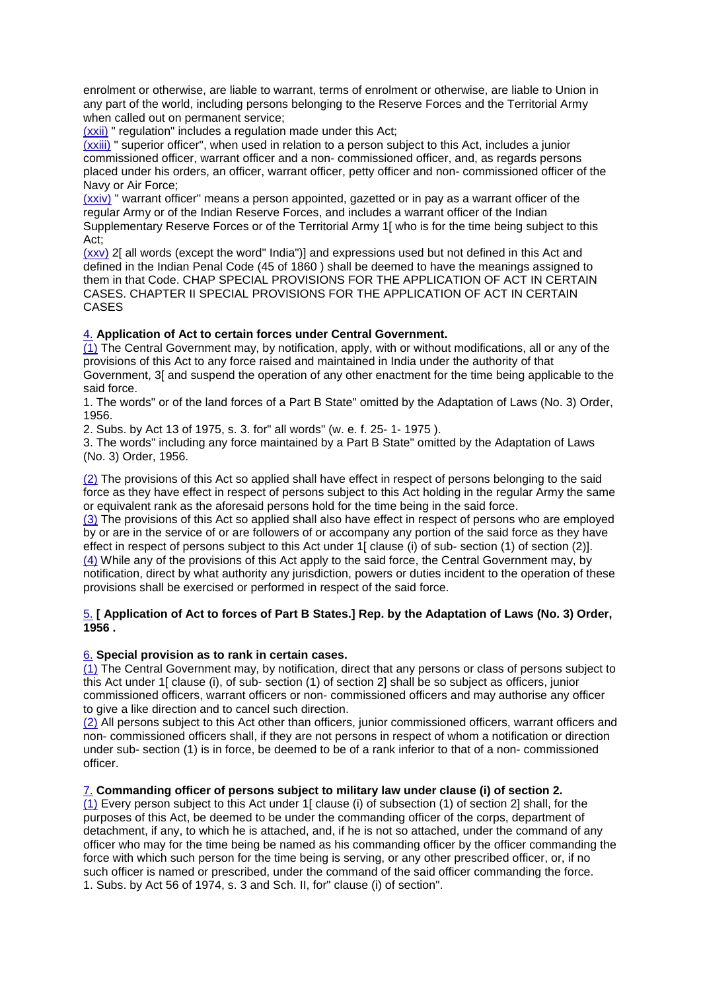enrolment or otherwise, are liable to warrant, terms of enrolment or otherwise, are liable to Union in any part of the world, including persons belonging to the Reserve Forces and the Territorial Army when called out on permanent service;

(xxii) " regulation" includes a regulation made under this Act;

(xxiii) " superior officer", when used in relation to a person subject to this Act, includes a junior commissioned officer, warrant officer and a non- commissioned officer, and, as regards persons placed under his orders, an officer, warrant officer, petty officer and non- commissioned officer of the Navy or Air Force;

 $(xxiv)$  " warrant officer" means a person appointed, gazetted or in pay as a warrant officer of the regular Army or of the Indian Reserve Forces, and includes a warrant officer of the Indian Supplementary Reserve Forces or of the Territorial Army 1[ who is for the time being subject to this Act;

(xxv) 2[ all words (except the word" India")] and expressions used but not defined in this Act and defined in the Indian Penal Code (45 of 1860 ) shall be deemed to have the meanings assigned to them in that Code. CHAP SPECIAL PROVISIONS FOR THE APPLICATION OF ACT IN CERTAIN CASES. CHAPTER II SPECIAL PROVISIONS FOR THE APPLICATION OF ACT IN CERTAIN CASES

# 4. **Application of Act to certain forces under Central Government.**

(1) The Central Government may, by notification, apply, with or without modifications, all or any of the provisions of this Act to any force raised and maintained in India under the authority of that Government, 3[ and suspend the operation of any other enactment for the time being applicable to the said force.

1. The words" or of the land forces of a Part B State" omitted by the Adaptation of Laws (No. 3) Order, 1956.

2. Subs. by Act 13 of 1975, s. 3. for" all words" (w. e. f. 25- 1- 1975 ).

3. The words" including any force maintained by a Part B State" omitted by the Adaptation of Laws (No. 3) Order, 1956.

(2) The provisions of this Act so applied shall have effect in respect of persons belonging to the said force as they have effect in respect of persons subject to this Act holding in the regular Army the same or equivalent rank as the aforesaid persons hold for the time being in the said force.

(3) The provisions of this Act so applied shall also have effect in respect of persons who are employed by or are in the service of or are followers of or accompany any portion of the said force as they have effect in respect of persons subject to this Act under 1[ clause (i) of sub- section (1) of section (2)]. (4) While any of the provisions of this Act apply to the said force, the Central Government may, by notification, direct by what authority any jurisdiction, powers or duties incident to the operation of these provisions shall be exercised or performed in respect of the said force.

# 5. **[ Application of Act to forces of Part B States.] Rep. by the Adaptation of Laws (No. 3) Order, 1956 .**

# 6. **Special provision as to rank in certain cases.**

(1) The Central Government may, by notification, direct that any persons or class of persons subject to this Act under 1[ clause (i), of sub- section (1) of section 2] shall be so subject as officers, junior commissioned officers, warrant officers or non- commissioned officers and may authorise any officer to give a like direction and to cancel such direction.

(2) All persons subject to this Act other than officers, junior commissioned officers, warrant officers and non- commissioned officers shall, if they are not persons in respect of whom a notification or direction under sub- section (1) is in force, be deemed to be of a rank inferior to that of a non- commissioned officer.

# 7. **Commanding officer of persons subject to military law under clause (i) of section 2.**

(1) Every person subject to this Act under 1[ clause (i) of subsection (1) of section 2] shall, for the purposes of this Act, be deemed to be under the commanding officer of the corps, department of detachment, if any, to which he is attached, and, if he is not so attached, under the command of any officer who may for the time being be named as his commanding officer by the officer commanding the force with which such person for the time being is serving, or any other prescribed officer, or, if no such officer is named or prescribed, under the command of the said officer commanding the force. 1. Subs. by Act 56 of 1974, s. 3 and Sch. II, for" clause (i) of section".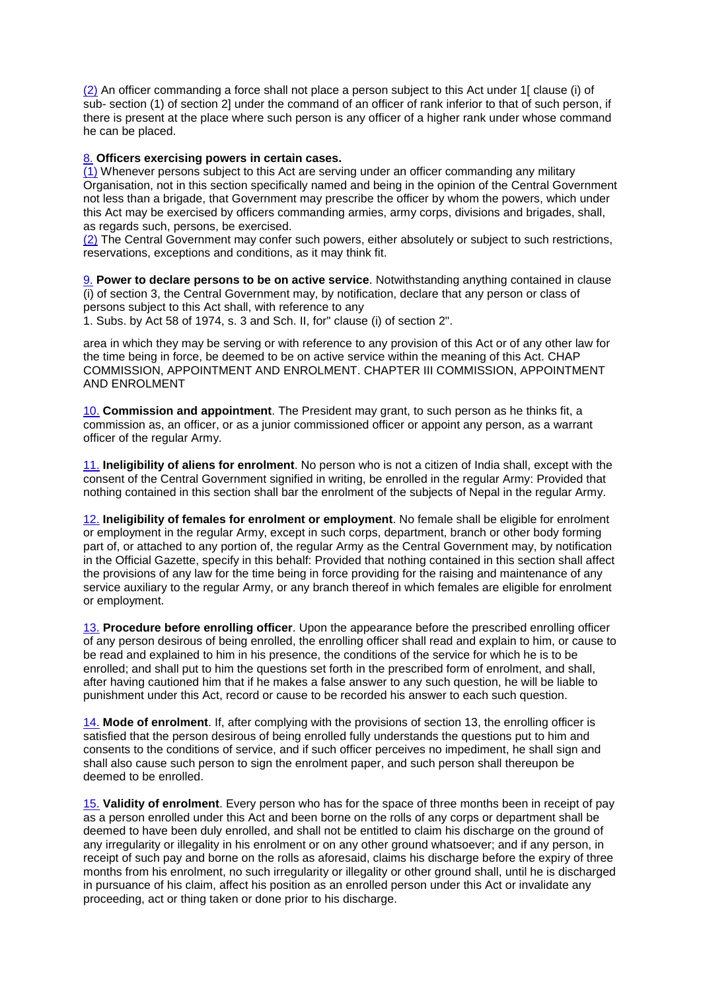(2) An officer commanding a force shall not place a person subject to this Act under 1[ clause (i) of sub- section (1) of section 2] under the command of an officer of rank inferior to that of such person, if there is present at the place where such person is any officer of a higher rank under whose command he can be placed.

# 8. **Officers exercising powers in certain cases.**

(1) Whenever persons subject to this Act are serving under an officer commanding any military Organisation, not in this section specifically named and being in the opinion of the Central Government not less than a brigade, that Government may prescribe the officer by whom the powers, which under this Act may be exercised by officers commanding armies, army corps, divisions and brigades, shall, as regards such, persons, be exercised.

(2) The Central Government may confer such powers, either absolutely or subject to such restrictions, reservations, exceptions and conditions, as it may think fit.

9. **Power to declare persons to be on active service**. Notwithstanding anything contained in clause (i) of section 3, the Central Government may, by notification, declare that any person or class of persons subject to this Act shall, with reference to any

1. Subs. by Act 58 of 1974, s. 3 and Sch. II, for" clause (i) of section 2".

area in which they may be serving or with reference to any provision of this Act or of any other law for the time being in force, be deemed to be on active service within the meaning of this Act. CHAP COMMISSION, APPOINTMENT AND ENROLMENT. CHAPTER III COMMISSION, APPOINTMENT AND ENROLMENT

10. **Commission and appointment**. The President may grant, to such person as he thinks fit, a commission as, an officer, or as a junior commissioned officer or appoint any person, as a warrant officer of the regular Army.

11. **Ineligibility of aliens for enrolment**. No person who is not a citizen of India shall, except with the consent of the Central Government signified in writing, be enrolled in the regular Army: Provided that nothing contained in this section shall bar the enrolment of the subjects of Nepal in the regular Army.

12. **Ineligibility of females for enrolment or employment**. No female shall be eligible for enrolment or employment in the regular Army, except in such corps, department, branch or other body forming part of, or attached to any portion of, the regular Army as the Central Government may, by notification in the Official Gazette, specify in this behalf: Provided that nothing contained in this section shall affect the provisions of any law for the time being in force providing for the raising and maintenance of any service auxiliary to the regular Army, or any branch thereof in which females are eligible for enrolment or employment.

13. **Procedure before enrolling officer**. Upon the appearance before the prescribed enrolling officer of any person desirous of being enrolled, the enrolling officer shall read and explain to him, or cause to be read and explained to him in his presence, the conditions of the service for which he is to be enrolled; and shall put to him the questions set forth in the prescribed form of enrolment, and shall, after having cautioned him that if he makes a false answer to any such question, he will be liable to punishment under this Act, record or cause to be recorded his answer to each such question.

14. **Mode of enrolment**. If, after complying with the provisions of section 13, the enrolling officer is satisfied that the person desirous of being enrolled fully understands the questions put to him and consents to the conditions of service, and if such officer perceives no impediment, he shall sign and shall also cause such person to sign the enrolment paper, and such person shall thereupon be deemed to be enrolled.

15. **Validity of enrolment**. Every person who has for the space of three months been in receipt of pay as a person enrolled under this Act and been borne on the rolls of any corps or department shall be deemed to have been duly enrolled, and shall not be entitled to claim his discharge on the ground of any irregularity or illegality in his enrolment or on any other ground whatsoever; and if any person, in receipt of such pay and borne on the rolls as aforesaid, claims his discharge before the expiry of three months from his enrolment, no such irregularity or illegality or other ground shall, until he is discharged in pursuance of his claim, affect his position as an enrolled person under this Act or invalidate any proceeding, act or thing taken or done prior to his discharge.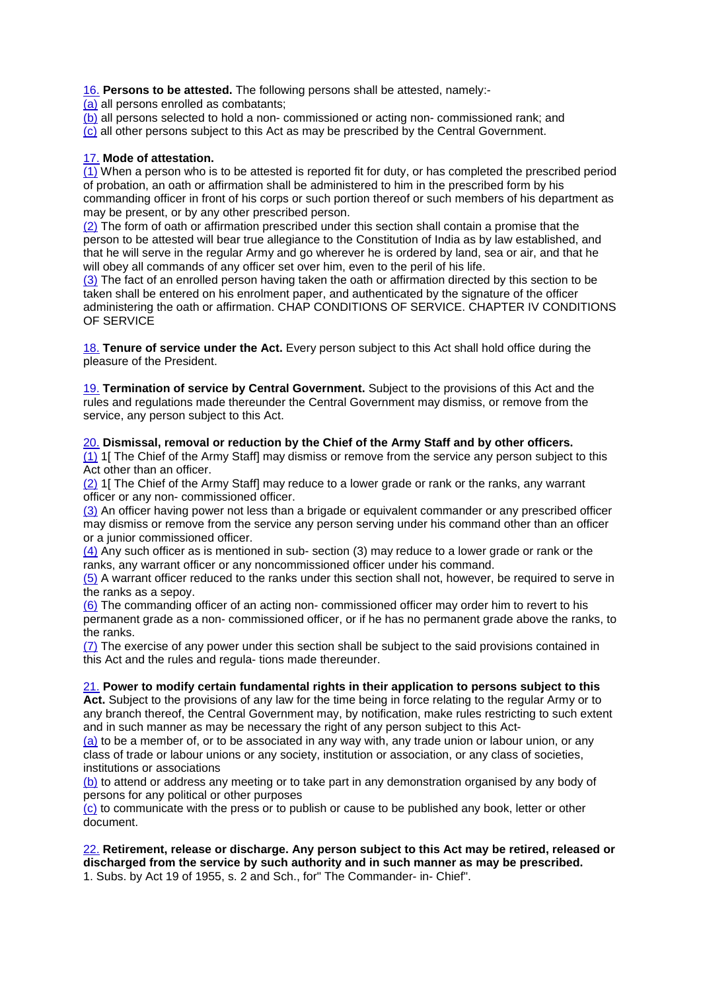16. **Persons to be attested.** The following persons shall be attested, namely:-

(a) all persons enrolled as combatants;

(b) all persons selected to hold a non- commissioned or acting non- commissioned rank; and

(c) all other persons subject to this Act as may be prescribed by the Central Government.

# 17. **Mode of attestation.**

(1) When a person who is to be attested is reported fit for duty, or has completed the prescribed period of probation, an oath or affirmation shall be administered to him in the prescribed form by his commanding officer in front of his corps or such portion thereof or such members of his department as may be present, or by any other prescribed person.

(2) The form of oath or affirmation prescribed under this section shall contain a promise that the person to be attested will bear true allegiance to the Constitution of India as by law established, and that he will serve in the regular Army and go wherever he is ordered by land, sea or air, and that he will obey all commands of any officer set over him, even to the peril of his life.

(3) The fact of an enrolled person having taken the oath or affirmation directed by this section to be taken shall be entered on his enrolment paper, and authenticated by the signature of the officer administering the oath or affirmation. CHAP CONDITIONS OF SERVICE. CHAPTER IV CONDITIONS OF SERVICE

18. **Tenure of service under the Act.** Every person subject to this Act shall hold office during the pleasure of the President.

19. **Termination of service by Central Government.** Subject to the provisions of this Act and the rules and regulations made thereunder the Central Government may dismiss, or remove from the service, any person subject to this Act.

# 20. **Dismissal, removal or reduction by the Chief of the Army Staff and by other officers.**

(1) 1[ The Chief of the Army Staff] may dismiss or remove from the service any person subject to this Act other than an officer.

(2) 1[ The Chief of the Army Staff] may reduce to a lower grade or rank or the ranks, any warrant officer or any non- commissioned officer.

(3) An officer having power not less than a brigade or equivalent commander or any prescribed officer may dismiss or remove from the service any person serving under his command other than an officer or a junior commissioned officer.

(4) Any such officer as is mentioned in sub- section (3) may reduce to a lower grade or rank or the ranks, any warrant officer or any noncommissioned officer under his command.

(5) A warrant officer reduced to the ranks under this section shall not, however, be required to serve in the ranks as a sepoy.

(6) The commanding officer of an acting non- commissioned officer may order him to revert to his permanent grade as a non- commissioned officer, or if he has no permanent grade above the ranks, to the ranks.

(7) The exercise of any power under this section shall be subject to the said provisions contained in this Act and the rules and regula- tions made thereunder.

#### 21. **Power to modify certain fundamental rights in their application to persons subject to this**

Act. Subject to the provisions of any law for the time being in force relating to the regular Army or to any branch thereof, the Central Government may, by notification, make rules restricting to such extent and in such manner as may be necessary the right of any person subject to this Act-

(a) to be a member of, or to be associated in any way with, any trade union or labour union, or any class of trade or labour unions or any society, institution or association, or any class of societies, institutions or associations

(b) to attend or address any meeting or to take part in any demonstration organised by any body of persons for any political or other purposes

(c) to communicate with the press or to publish or cause to be published any book, letter or other document.

#### 22. **Retirement, release or discharge. Any person subject to this Act may be retired, released or discharged from the service by such authority and in such manner as may be prescribed.** 1. Subs. by Act 19 of 1955, s. 2 and Sch., for" The Commander- in- Chief".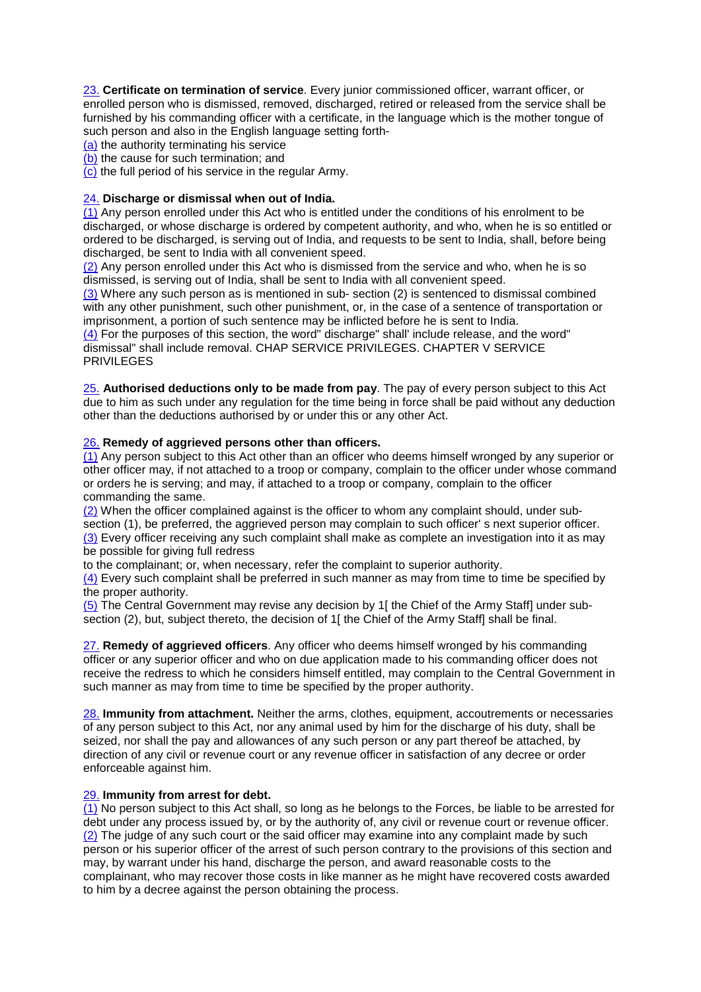23. **Certificate on termination of service**. Every junior commissioned officer, warrant officer, or enrolled person who is dismissed, removed, discharged, retired or released from the service shall be furnished by his commanding officer with a certificate, in the language which is the mother tongue of such person and also in the English language setting forth-

(a) the authority terminating his service

(b) the cause for such termination; and

(c) the full period of his service in the regular Army.

# 24. **Discharge or dismissal when out of India.**

 $(1)$  Any person enrolled under this Act who is entitled under the conditions of his enrolment to be discharged, or whose discharge is ordered by competent authority, and who, when he is so entitled or ordered to be discharged, is serving out of India, and requests to be sent to India, shall, before being discharged, be sent to India with all convenient speed.

(2) Any person enrolled under this Act who is dismissed from the service and who, when he is so dismissed, is serving out of India, shall be sent to India with all convenient speed.

(3) Where any such person as is mentioned in sub- section (2) is sentenced to dismissal combined with any other punishment, such other punishment, or, in the case of a sentence of transportation or imprisonment, a portion of such sentence may be inflicted before he is sent to India.

(4) For the purposes of this section, the word" discharge" shall' include release, and the word" dismissal" shall include removal. CHAP SERVICE PRIVILEGES. CHAPTER V SERVICE PRIVILEGES

25. **Authorised deductions only to be made from pay**. The pay of every person subject to this Act due to him as such under any regulation for the time being in force shall be paid without any deduction other than the deductions authorised by or under this or any other Act.

# 26. **Remedy of aggrieved persons other than officers.**

(1) Any person subject to this Act other than an officer who deems himself wronged by any superior or other officer may, if not attached to a troop or company, complain to the officer under whose command or orders he is serving; and may, if attached to a troop or company, complain to the officer commanding the same.

(2) When the officer complained against is the officer to whom any complaint should, under subsection (1), be preferred, the aggrieved person may complain to such officer' s next superior officer. (3) Every officer receiving any such complaint shall make as complete an investigation into it as may be possible for giving full redress

to the complainant; or, when necessary, refer the complaint to superior authority.

(4) Every such complaint shall be preferred in such manner as may from time to time be specified by the proper authority.

(5) The Central Government may revise any decision by 1[ the Chief of the Army Staff] under subsection (2), but, subject thereto, the decision of 1[ the Chief of the Army Staff] shall be final.

27. **Remedy of aggrieved officers**. Any officer who deems himself wronged by his commanding officer or any superior officer and who on due application made to his commanding officer does not receive the redress to which he considers himself entitled, may complain to the Central Government in such manner as may from time to time be specified by the proper authority.

28. **Immunity from attachment.** Neither the arms, clothes, equipment, accoutrements or necessaries of any person subject to this Act, nor any animal used by him for the discharge of his duty, shall be seized, nor shall the pay and allowances of any such person or any part thereof be attached, by direction of any civil or revenue court or any revenue officer in satisfaction of any decree or order enforceable against him.

#### 29. **Immunity from arrest for debt.**

(1) No person subject to this Act shall, so long as he belongs to the Forces, be liable to be arrested for debt under any process issued by, or by the authority of, any civil or revenue court or revenue officer. (2) The judge of any such court or the said officer may examine into any complaint made by such person or his superior officer of the arrest of such person contrary to the provisions of this section and may, by warrant under his hand, discharge the person, and award reasonable costs to the complainant, who may recover those costs in like manner as he might have recovered costs awarded to him by a decree against the person obtaining the process.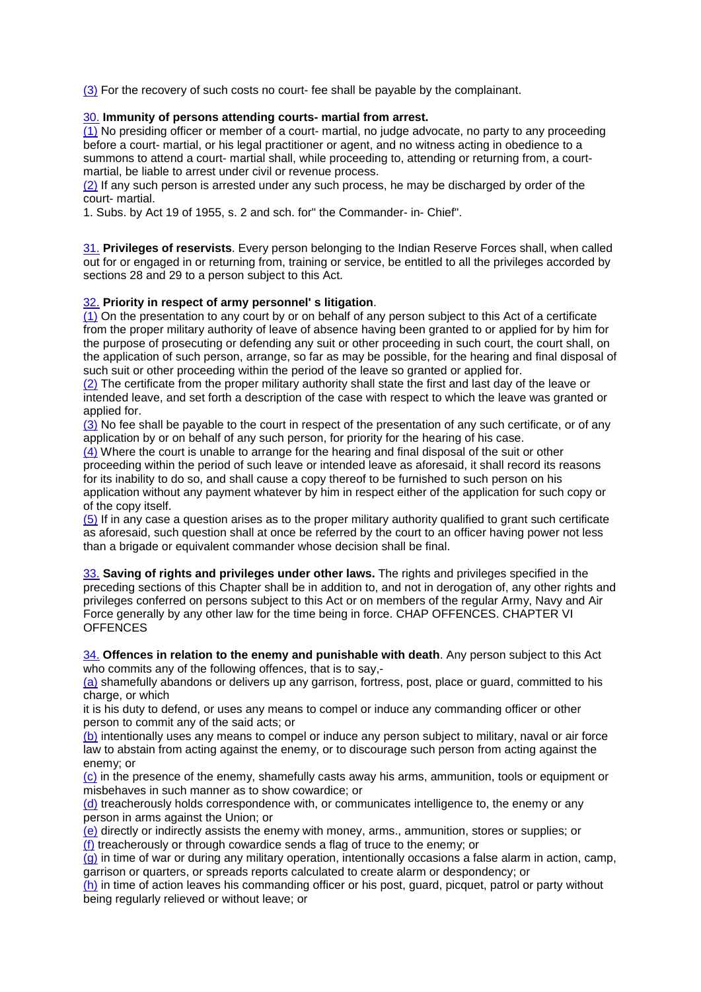(3) For the recovery of such costs no court- fee shall be payable by the complainant.

# 30. **Immunity of persons attending courts- martial from arrest.**

(1) No presiding officer or member of a court- martial, no judge advocate, no party to any proceeding before a court- martial, or his legal practitioner or agent, and no witness acting in obedience to a summons to attend a court- martial shall, while proceeding to, attending or returning from, a courtmartial, be liable to arrest under civil or revenue process.

(2) If any such person is arrested under any such process, he may be discharged by order of the court- martial.

1. Subs. by Act 19 of 1955, s. 2 and sch. for" the Commander- in- Chief".

31. **Privileges of reservists**. Every person belonging to the Indian Reserve Forces shall, when called out for or engaged in or returning from, training or service, be entitled to all the privileges accorded by sections 28 and 29 to a person subject to this Act.

# 32. **Priority in respect of army personnel' s litigation**.

(1) On the presentation to any court by or on behalf of any person subject to this Act of a certificate from the proper military authority of leave of absence having been granted to or applied for by him for the purpose of prosecuting or defending any suit or other proceeding in such court, the court shall, on the application of such person, arrange, so far as may be possible, for the hearing and final disposal of such suit or other proceeding within the period of the leave so granted or applied for.

(2) The certificate from the proper military authority shall state the first and last day of the leave or intended leave, and set forth a description of the case with respect to which the leave was granted or applied for

(3) No fee shall be payable to the court in respect of the presentation of any such certificate, or of any application by or on behalf of any such person, for priority for the hearing of his case.

(4) Where the court is unable to arrange for the hearing and final disposal of the suit or other proceeding within the period of such leave or intended leave as aforesaid, it shall record its reasons for its inability to do so, and shall cause a copy thereof to be furnished to such person on his application without any payment whatever by him in respect either of the application for such copy or of the copy itself.

(5) If in any case a question arises as to the proper military authority qualified to grant such certificate as aforesaid, such question shall at once be referred by the court to an officer having power not less than a brigade or equivalent commander whose decision shall be final.

33. **Saving of rights and privileges under other laws.** The rights and privileges specified in the preceding sections of this Chapter shall be in addition to, and not in derogation of, any other rights and privileges conferred on persons subject to this Act or on members of the regular Army, Navy and Air Force generally by any other law for the time being in force. CHAP OFFENCES. CHAPTER VI **OFFENCES** 

34. **Offences in relation to the enemy and punishable with death**. Any person subject to this Act who commits any of the following offences, that is to say,-

(a) shamefully abandons or delivers up any garrison, fortress, post, place or guard, committed to his charge, or which

it is his duty to defend, or uses any means to compel or induce any commanding officer or other person to commit any of the said acts; or

(b) intentionally uses any means to compel or induce any person subject to military, naval or air force law to abstain from acting against the enemy, or to discourage such person from acting against the enemy; or

(c) in the presence of the enemy, shamefully casts away his arms, ammunition, tools or equipment or misbehaves in such manner as to show cowardice; or

(d) treacherously holds correspondence with, or communicates intelligence to, the enemy or any person in arms against the Union; or

(e) directly or indirectly assists the enemy with money, arms., ammunition, stores or supplies; or (f) treacherously or through cowardice sends a flag of truce to the enemy; or

(g) in time of war or during any military operation, intentionally occasions a false alarm in action, camp, garrison or quarters, or spreads reports calculated to create alarm or despondency; or

(h) in time of action leaves his commanding officer or his post, guard, picquet, patrol or party without being regularly relieved or without leave; or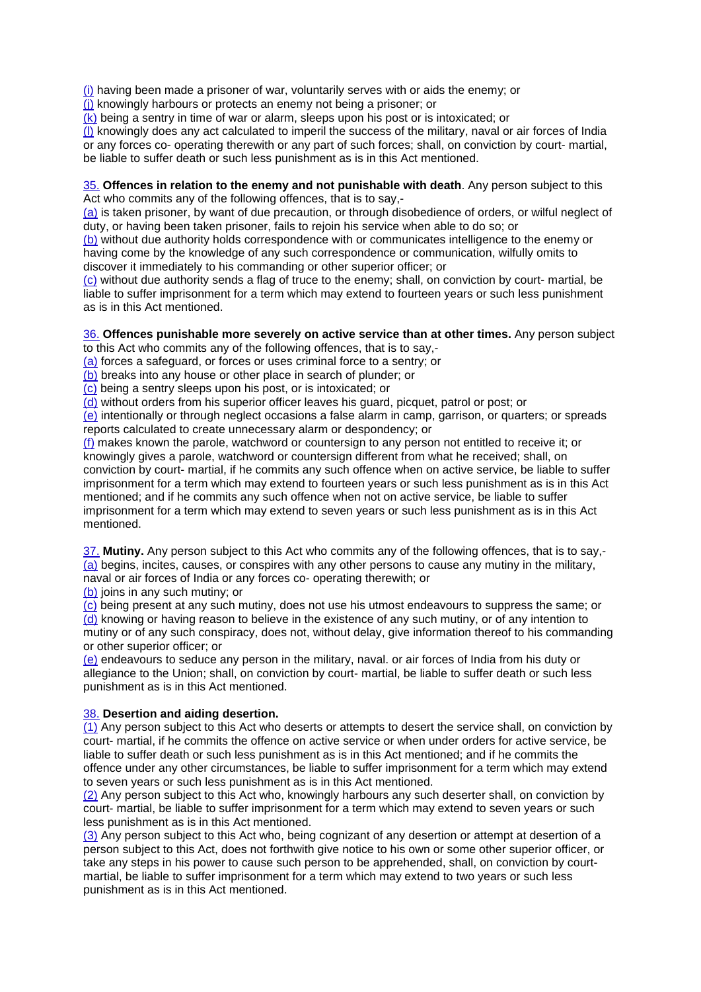(i) having been made a prisoner of war, voluntarily serves with or aids the enemy; or

(j) knowingly harbours or protects an enemy not being a prisoner; or

(k) being a sentry in time of war or alarm, sleeps upon his post or is intoxicated; or

(l) knowingly does any act calculated to imperil the success of the military, naval or air forces of India or any forces co- operating therewith or any part of such forces; shall, on conviction by court- martial, be liable to suffer death or such less punishment as is in this Act mentioned.

#### 35. **Offences in relation to the enemy and not punishable with death**. Any person subject to this Act who commits any of the following offences, that is to say,-

(a) is taken prisoner, by want of due precaution, or through disobedience of orders, or wilful neglect of duty, or having been taken prisoner, fails to rejoin his service when able to do so; or

(b) without due authority holds correspondence with or communicates intelligence to the enemy or having come by the knowledge of any such correspondence or communication, wilfully omits to discover it immediately to his commanding or other superior officer; or

(c) without due authority sends a flag of truce to the enemy; shall, on conviction by court- martial, be liable to suffer imprisonment for a term which may extend to fourteen years or such less punishment as is in this Act mentioned.

# 36. **Offences punishable more severely on active service than at other times.** Any person subject

to this Act who commits any of the following offences, that is to say,-

(a) forces a safeguard, or forces or uses criminal force to a sentry; or

(b) breaks into any house or other place in search of plunder; or

(c) being a sentry sleeps upon his post, or is intoxicated; or

(d) without orders from his superior officer leaves his guard, picquet, patrol or post; or

(e) intentionally or through neglect occasions a false alarm in camp, garrison, or quarters; or spreads reports calculated to create unnecessary alarm or despondency; or

(f) makes known the parole, watchword or countersign to any person not entitled to receive it; or knowingly gives a parole, watchword or countersign different from what he received; shall, on conviction by court- martial, if he commits any such offence when on active service, be liable to suffer imprisonment for a term which may extend to fourteen years or such less punishment as is in this Act mentioned; and if he commits any such offence when not on active service, be liable to suffer imprisonment for a term which may extend to seven years or such less punishment as is in this Act mentioned.

37. **Mutiny.** Any person subject to this Act who commits any of the following offences, that is to say,- (a) begins, incites, causes, or conspires with any other persons to cause any mutiny in the military, naval or air forces of India or any forces co- operating therewith; or

(b) joins in any such mutiny; or

(c) being present at any such mutiny, does not use his utmost endeavours to suppress the same; or (d) knowing or having reason to believe in the existence of any such mutiny, or of any intention to mutiny or of any such conspiracy, does not, without delay, give information thereof to his commanding or other superior officer; or

(e) endeavours to seduce any person in the military, naval. or air forces of India from his duty or allegiance to the Union; shall, on conviction by court- martial, be liable to suffer death or such less punishment as is in this Act mentioned.

# 38. **Desertion and aiding desertion.**

 $(1)$  Any person subject to this Act who deserts or attempts to desert the service shall, on conviction by court- martial, if he commits the offence on active service or when under orders for active service, be liable to suffer death or such less punishment as is in this Act mentioned; and if he commits the offence under any other circumstances, be liable to suffer imprisonment for a term which may extend to seven years or such less punishment as is in this Act mentioned.

(2) Any person subject to this Act who, knowingly harbours any such deserter shall, on conviction by court- martial, be liable to suffer imprisonment for a term which may extend to seven years or such less punishment as is in this Act mentioned.

(3) Any person subject to this Act who, being cognizant of any desertion or attempt at desertion of a person subject to this Act, does not forthwith give notice to his own or some other superior officer, or take any steps in his power to cause such person to be apprehended, shall, on conviction by courtmartial, be liable to suffer imprisonment for a term which may extend to two years or such less punishment as is in this Act mentioned.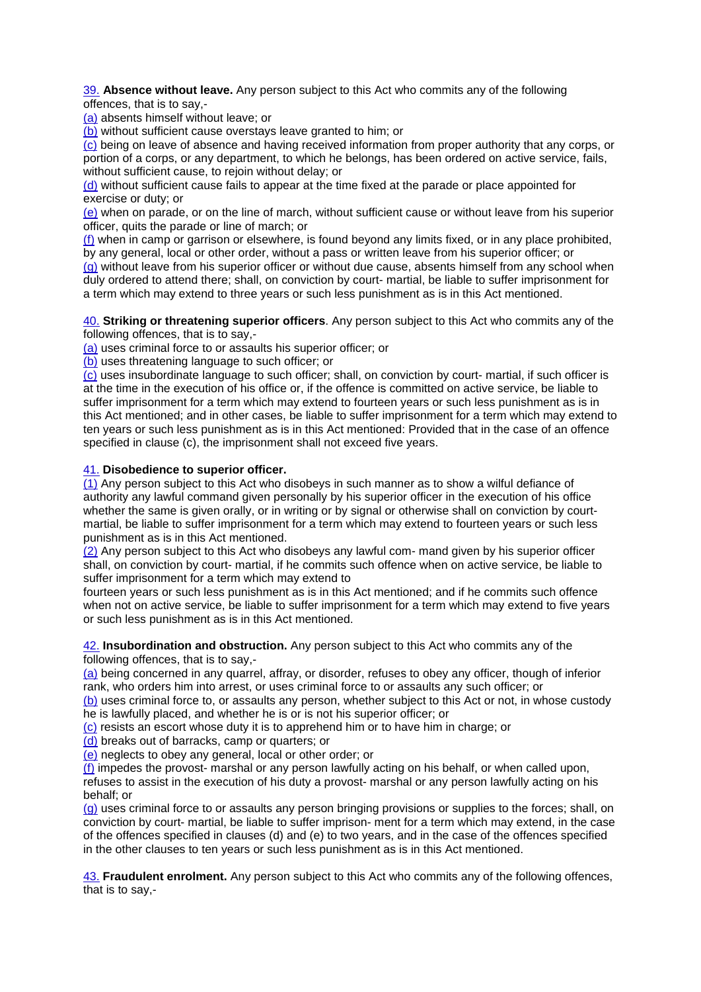39. **Absence without leave.** Any person subject to this Act who commits any of the following offences, that is to say,-

(a) absents himself without leave; or

(b) without sufficient cause overstays leave granted to him; or

(c) being on leave of absence and having received information from proper authority that any corps, or portion of a corps, or any department, to which he belongs, has been ordered on active service, fails, without sufficient cause, to rejoin without delay; or

(d) without sufficient cause fails to appear at the time fixed at the parade or place appointed for exercise or duty; or

(e) when on parade, or on the line of march, without sufficient cause or without leave from his superior officer, quits the parade or line of march; or

(f) when in camp or garrison or elsewhere, is found beyond any limits fixed, or in any place prohibited, by any general, local or other order, without a pass or written leave from his superior officer; or

(g) without leave from his superior officer or without due cause, absents himself from any school when duly ordered to attend there; shall, on conviction by court- martial, be liable to suffer imprisonment for a term which may extend to three years or such less punishment as is in this Act mentioned.

40. **Striking or threatening superior officers**. Any person subject to this Act who commits any of the following offences, that is to say,-

(a) uses criminal force to or assaults his superior officer; or

(b) uses threatening language to such officer; or

(c) uses insubordinate language to such officer; shall, on conviction by court- martial, if such officer is at the time in the execution of his office or, if the offence is committed on active service, be liable to suffer imprisonment for a term which may extend to fourteen years or such less punishment as is in this Act mentioned; and in other cases, be liable to suffer imprisonment for a term which may extend to ten years or such less punishment as is in this Act mentioned: Provided that in the case of an offence specified in clause (c), the imprisonment shall not exceed five years.

# 41. **Disobedience to superior officer.**

 $\overline{(1)}$  Any person subject to this Act who disobeys in such manner as to show a wilful defiance of authority any lawful command given personally by his superior officer in the execution of his office whether the same is given orally, or in writing or by signal or otherwise shall on conviction by courtmartial, be liable to suffer imprisonment for a term which may extend to fourteen years or such less punishment as is in this Act mentioned.

(2) Any person subject to this Act who disobeys any lawful com- mand given by his superior officer shall, on conviction by court- martial, if he commits such offence when on active service, be liable to suffer imprisonment for a term which may extend to

fourteen years or such less punishment as is in this Act mentioned; and if he commits such offence when not on active service, be liable to suffer imprisonment for a term which may extend to five years or such less punishment as is in this Act mentioned.

42. **Insubordination and obstruction.** Any person subject to this Act who commits any of the following offences, that is to say,-

(a) being concerned in any quarrel, affray, or disorder, refuses to obey any officer, though of inferior rank, who orders him into arrest, or uses criminal force to or assaults any such officer; or

(b) uses criminal force to, or assaults any person, whether subject to this Act or not, in whose custody he is lawfully placed, and whether he is or is not his superior officer; or

(c) resists an escort whose duty it is to apprehend him or to have him in charge; or

(d) breaks out of barracks, camp or quarters; or

(e) neglects to obey any general, local or other order; or

(f) impedes the provost- marshal or any person lawfully acting on his behalf, or when called upon, refuses to assist in the execution of his duty a provost- marshal or any person lawfully acting on his behalf; or

(g) uses criminal force to or assaults any person bringing provisions or supplies to the forces; shall, on conviction by court- martial, be liable to suffer imprison- ment for a term which may extend, in the case of the offences specified in clauses (d) and (e) to two years, and in the case of the offences specified in the other clauses to ten years or such less punishment as is in this Act mentioned.

43. **Fraudulent enrolment.** Any person subject to this Act who commits any of the following offences, that is to say,-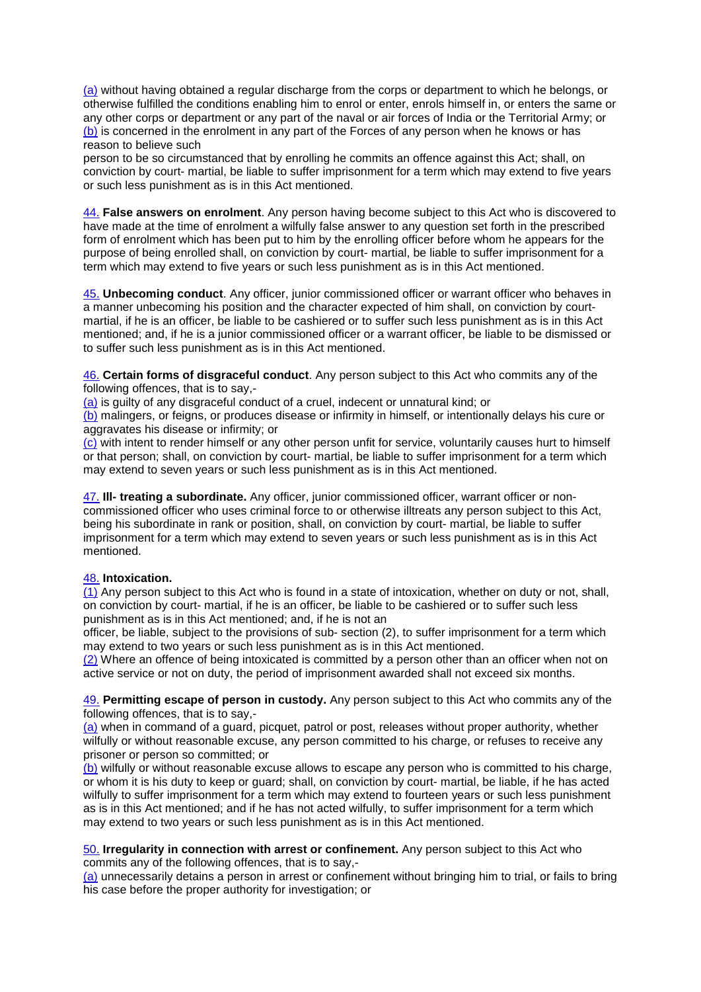(a) without having obtained a regular discharge from the corps or department to which he belongs, or otherwise fulfilled the conditions enabling him to enrol or enter, enrols himself in, or enters the same or any other corps or department or any part of the naval or air forces of India or the Territorial Army; or (b) is concerned in the enrolment in any part of the Forces of any person when he knows or has reason to believe such

person to be so circumstanced that by enrolling he commits an offence against this Act; shall, on conviction by court- martial, be liable to suffer imprisonment for a term which may extend to five years or such less punishment as is in this Act mentioned.

44. **False answers on enrolment**. Any person having become subject to this Act who is discovered to have made at the time of enrolment a wilfully false answer to any question set forth in the prescribed form of enrolment which has been put to him by the enrolling officer before whom he appears for the purpose of being enrolled shall, on conviction by court- martial, be liable to suffer imprisonment for a term which may extend to five years or such less punishment as is in this Act mentioned.

45. **Unbecoming conduct**. Any officer, junior commissioned officer or warrant officer who behaves in a manner unbecoming his position and the character expected of him shall, on conviction by courtmartial, if he is an officer, be liable to be cashiered or to suffer such less punishment as is in this Act mentioned; and, if he is a junior commissioned officer or a warrant officer, be liable to be dismissed or to suffer such less punishment as is in this Act mentioned.

46. **Certain forms of disgraceful conduct**. Any person subject to this Act who commits any of the following offences, that is to say,-

(a) is guilty of any disgraceful conduct of a cruel, indecent or unnatural kind; or

(b) malingers, or feigns, or produces disease or infirmity in himself, or intentionally delays his cure or aggravates his disease or infirmity; or

(c) with intent to render himself or any other person unfit for service, voluntarily causes hurt to himself or that person; shall, on conviction by court- martial, be liable to suffer imprisonment for a term which may extend to seven years or such less punishment as is in this Act mentioned.

47. **Ill- treating a subordinate.** Any officer, junior commissioned officer, warrant officer or noncommissioned officer who uses criminal force to or otherwise illtreats any person subject to this Act, being his subordinate in rank or position, shall, on conviction by court- martial, be liable to suffer imprisonment for a term which may extend to seven years or such less punishment as is in this Act mentioned.

# 48. **Intoxication.**

(1) Any person subject to this Act who is found in a state of intoxication, whether on duty or not, shall, on conviction by court- martial, if he is an officer, be liable to be cashiered or to suffer such less punishment as is in this Act mentioned; and, if he is not an

officer, be liable, subject to the provisions of sub- section (2), to suffer imprisonment for a term which may extend to two years or such less punishment as is in this Act mentioned.

(2) Where an offence of being intoxicated is committed by a person other than an officer when not on active service or not on duty, the period of imprisonment awarded shall not exceed six months.

49. **Permitting escape of person in custody.** Any person subject to this Act who commits any of the following offences, that is to say,-

(a) when in command of a guard, picquet, patrol or post, releases without proper authority, whether wilfully or without reasonable excuse, any person committed to his charge, or refuses to receive any prisoner or person so committed; or

(b) wilfully or without reasonable excuse allows to escape any person who is committed to his charge, or whom it is his duty to keep or guard; shall, on conviction by court- martial, be liable, if he has acted wilfully to suffer imprisonment for a term which may extend to fourteen years or such less punishment as is in this Act mentioned; and if he has not acted wilfully, to suffer imprisonment for a term which may extend to two years or such less punishment as is in this Act mentioned.

50. **Irregularity in connection with arrest or confinement.** Any person subject to this Act who commits any of the following offences, that is to say,-

(a) unnecessarily detains a person in arrest or confinement without bringing him to trial, or fails to bring his case before the proper authority for investigation; or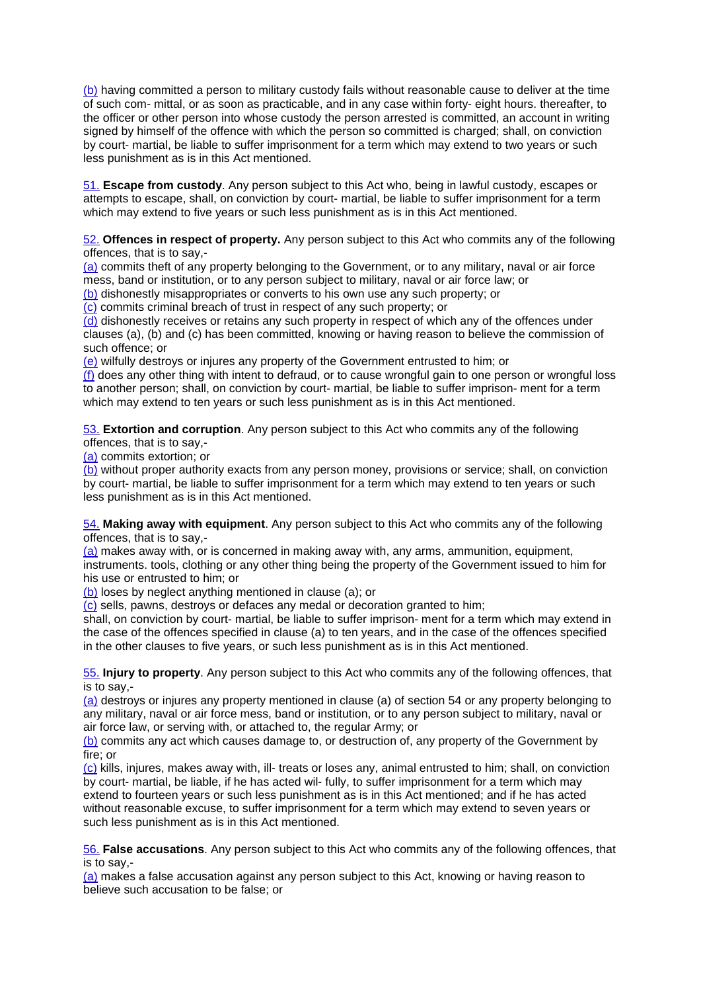(b) having committed a person to military custody fails without reasonable cause to deliver at the time of such com- mittal, or as soon as practicable, and in any case within forty- eight hours. thereafter, to the officer or other person into whose custody the person arrested is committed, an account in writing signed by himself of the offence with which the person so committed is charged; shall, on conviction by court- martial, be liable to suffer imprisonment for a term which may extend to two years or such less punishment as is in this Act mentioned.

51. **Escape from custody**. Any person subject to this Act who, being in lawful custody, escapes or attempts to escape, shall, on conviction by court- martial, be liable to suffer imprisonment for a term which may extend to five years or such less punishment as is in this Act mentioned.

#### 52. **Offences in respect of property.** Any person subject to this Act who commits any of the following offences, that is to say,-

(a) commits theft of any property belonging to the Government, or to any military, naval or air force mess, band or institution, or to any person subject to military, naval or air force law; or

(b) dishonestly misappropriates or converts to his own use any such property; or

(c) commits criminal breach of trust in respect of any such property; or

(d) dishonestly receives or retains any such property in respect of which any of the offences under clauses (a), (b) and (c) has been committed, knowing or having reason to believe the commission of such offence; or

(e) wilfully destroys or injures any property of the Government entrusted to him; or

(f) does any other thing with intent to defraud, or to cause wrongful gain to one person or wrongful loss to another person; shall, on conviction by court- martial, be liable to suffer imprison- ment for a term which may extend to ten years or such less punishment as is in this Act mentioned.

53. **Extortion and corruption**. Any person subject to this Act who commits any of the following offences, that is to say,-

(a) commits extortion; or

(b) without proper authority exacts from any person money, provisions or service; shall, on conviction by court- martial, be liable to suffer imprisonment for a term which may extend to ten years or such less punishment as is in this Act mentioned.

54. **Making away with equipment**. Any person subject to this Act who commits any of the following offences, that is to say,-

(a) makes away with, or is concerned in making away with, any arms, ammunition, equipment, instruments. tools, clothing or any other thing being the property of the Government issued to him for his use or entrusted to him; or

(b) loses by neglect anything mentioned in clause (a); or

 $\overline{c}$  sells, pawns, destroys or defaces any medal or decoration granted to him;

shall, on conviction by court- martial, be liable to suffer imprison- ment for a term which may extend in the case of the offences specified in clause (a) to ten years, and in the case of the offences specified in the other clauses to five years, or such less punishment as is in this Act mentioned.

55. **Injury to property**. Any person subject to this Act who commits any of the following offences, that is to say,-

(a) destroys or injures any property mentioned in clause (a) of section 54 or any property belonging to any military, naval or air force mess, band or institution, or to any person subject to military, naval or air force law, or serving with, or attached to, the regular Army; or

(b) commits any act which causes damage to, or destruction of, any property of the Government by fire; or

(c) kills, injures, makes away with, ill- treats or loses any, animal entrusted to him; shall, on conviction by court- martial, be liable, if he has acted wil- fully, to suffer imprisonment for a term which may extend to fourteen years or such less punishment as is in this Act mentioned; and if he has acted without reasonable excuse, to suffer imprisonment for a term which may extend to seven years or such less punishment as is in this Act mentioned.

56. **False accusations**. Any person subject to this Act who commits any of the following offences, that is to say,-

(a) makes a false accusation against any person subject to this Act, knowing or having reason to believe such accusation to be false; or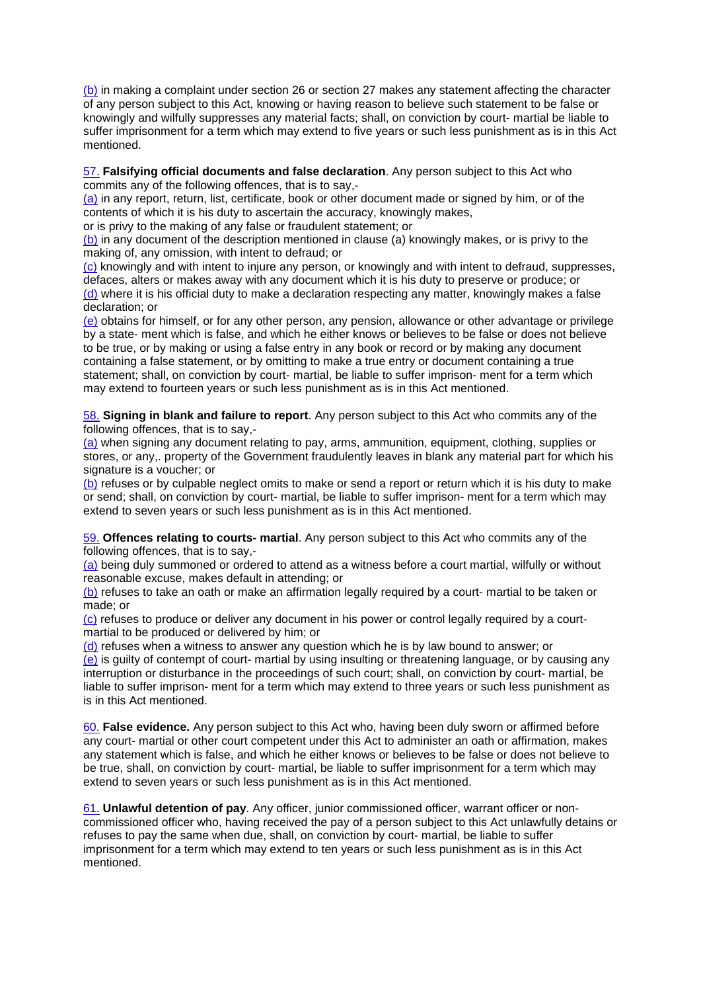(b) in making a complaint under section 26 or section 27 makes any statement affecting the character of any person subject to this Act, knowing or having reason to believe such statement to be false or knowingly and wilfully suppresses any material facts; shall, on conviction by court- martial be liable to suffer imprisonment for a term which may extend to five years or such less punishment as is in this Act mentioned.

#### 57. **Falsifying official documents and false declaration**. Any person subject to this Act who commits any of the following offences, that is to say,-

(a) in any report, return, list, certificate, book or other document made or signed by him, or of the contents of which it is his duty to ascertain the accuracy, knowingly makes,

or is privy to the making of any false or fraudulent statement; or

(b) in any document of the description mentioned in clause (a) knowingly makes, or is privy to the making of, any omission, with intent to defraud; or

(c) knowingly and with intent to injure any person, or knowingly and with intent to defraud, suppresses, defaces, alters or makes away with any document which it is his duty to preserve or produce; or (d) where it is his official duty to make a declaration respecting any matter, knowingly makes a false declaration; or

(e) obtains for himself, or for any other person, any pension, allowance or other advantage or privilege by a state- ment which is false, and which he either knows or believes to be false or does not believe to be true, or by making or using a false entry in any book or record or by making any document containing a false statement, or by omitting to make a true entry or document containing a true statement; shall, on conviction by court- martial, be liable to suffer imprison- ment for a term which may extend to fourteen years or such less punishment as is in this Act mentioned.

58. **Signing in blank and failure to report**. Any person subject to this Act who commits any of the following offences, that is to say,-

(a) when signing any document relating to pay, arms, ammunition, equipment, clothing, supplies or stores, or any,. property of the Government fraudulently leaves in blank any material part for which his signature is a voucher; or

(b) refuses or by culpable neglect omits to make or send a report or return which it is his duty to make or send; shall, on conviction by court- martial, be liable to suffer imprison- ment for a term which may extend to seven years or such less punishment as is in this Act mentioned.

59. **Offences relating to courts- martial**. Any person subject to this Act who commits any of the following offences, that is to say,-

(a) being duly summoned or ordered to attend as a witness before a court martial, wilfully or without reasonable excuse, makes default in attending; or

(b) refuses to take an oath or make an affirmation legally required by a court- martial to be taken or made; or

(c) refuses to produce or deliver any document in his power or control legally required by a courtmartial to be produced or delivered by him; or

(d) refuses when a witness to answer any question which he is by law bound to answer; or

(e) is guilty of contempt of court- martial by using insulting or threatening language, or by causing any interruption or disturbance in the proceedings of such court; shall, on conviction by court- martial, be liable to suffer imprison- ment for a term which may extend to three years or such less punishment as is in this Act mentioned.

60. **False evidence.** Any person subject to this Act who, having been duly sworn or affirmed before any court- martial or other court competent under this Act to administer an oath or affirmation, makes any statement which is false, and which he either knows or believes to be false or does not believe to be true, shall, on conviction by court- martial, be liable to suffer imprisonment for a term which may extend to seven years or such less punishment as is in this Act mentioned.

61. **Unlawful detention of pay**. Any officer, junior commissioned officer, warrant officer or noncommissioned officer who, having received the pay of a person subject to this Act unlawfully detains or refuses to pay the same when due, shall, on conviction by court- martial, be liable to suffer imprisonment for a term which may extend to ten years or such less punishment as is in this Act mentioned.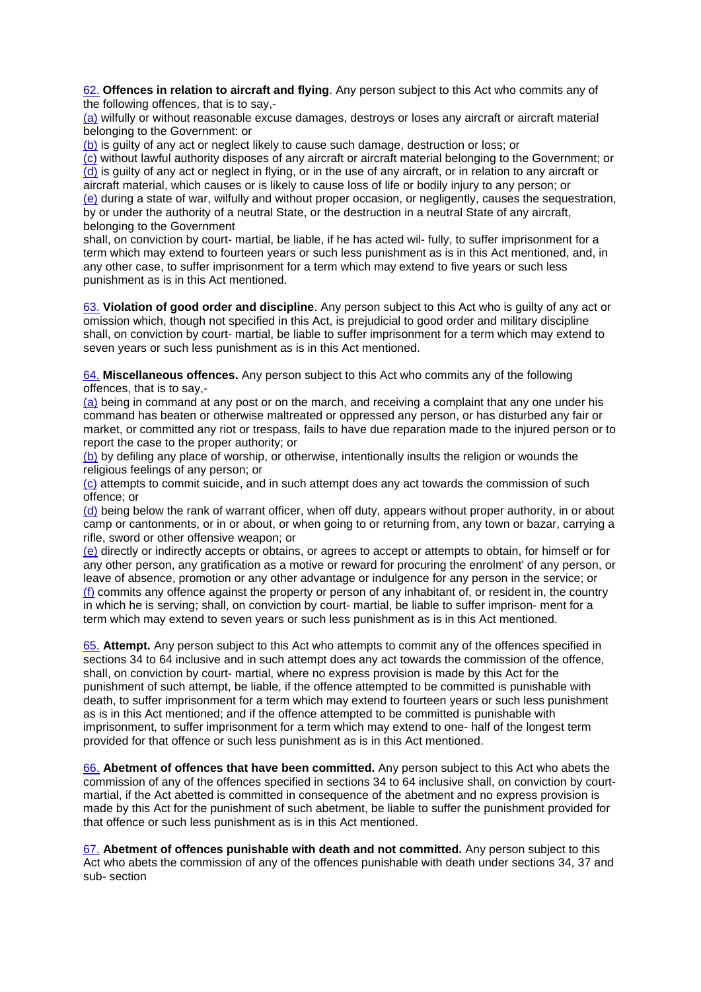62. **Offences in relation to aircraft and flying**. Any person subject to this Act who commits any of the following offences, that is to say,-

(a) wilfully or without reasonable excuse damages, destroys or loses any aircraft or aircraft material belonging to the Government: or

(b) is guilty of any act or neglect likely to cause such damage, destruction or loss; or

(c) without lawful authority disposes of any aircraft or aircraft material belonging to the Government; or (d) is guilty of any act or neglect in flying, or in the use of any aircraft, or in relation to any aircraft or aircraft material, which causes or is likely to cause loss of life or bodily injury to any person; or (e) during a state of war, wilfully and without proper occasion, or negligently, causes the sequestration, by or under the authority of a neutral State, or the destruction in a neutral State of any aircraft, belonging to the Government

shall, on conviction by court- martial, be liable, if he has acted wil- fully, to suffer imprisonment for a term which may extend to fourteen years or such less punishment as is in this Act mentioned, and, in any other case, to suffer imprisonment for a term which may extend to five years or such less punishment as is in this Act mentioned.

63. **Violation of good order and discipline**. Any person subject to this Act who is guilty of any act or omission which, though not specified in this Act, is prejudicial to good order and military discipline shall, on conviction by court- martial, be liable to suffer imprisonment for a term which may extend to seven years or such less punishment as is in this Act mentioned.

64. **Miscellaneous offences.** Any person subject to this Act who commits any of the following offences, that is to say,-

(a) being in command at any post or on the march, and receiving a complaint that any one under his command has beaten or otherwise maltreated or oppressed any person, or has disturbed any fair or market, or committed any riot or trespass, fails to have due reparation made to the injured person or to report the case to the proper authority; or

(b) by defiling any place of worship, or otherwise, intentionally insults the religion or wounds the religious feelings of any person; or

(c) attempts to commit suicide, and in such attempt does any act towards the commission of such offence; or

(d) being below the rank of warrant officer, when off duty, appears without proper authority, in or about camp or cantonments, or in or about, or when going to or returning from, any town or bazar, carrying a rifle, sword or other offensive weapon; or

(e) directly or indirectly accepts or obtains, or agrees to accept or attempts to obtain, for himself or for any other person, any gratification as a motive or reward for procuring the enrolment' of any person, or leave of absence, promotion or any other advantage or indulgence for any person in the service; or (f) commits any offence against the property or person of any inhabitant of, or resident in, the country in which he is serving; shall, on conviction by court- martial, be liable to suffer imprison- ment for a term which may extend to seven years or such less punishment as is in this Act mentioned.

65. **Attempt.** Any person subject to this Act who attempts to commit any of the offences specified in sections 34 to 64 inclusive and in such attempt does any act towards the commission of the offence, shall, on conviction by court- martial, where no express provision is made by this Act for the punishment of such attempt, be liable, if the offence attempted to be committed is punishable with death, to suffer imprisonment for a term which may extend to fourteen years or such less punishment as is in this Act mentioned; and if the offence attempted to be committed is punishable with imprisonment, to suffer imprisonment for a term which may extend to one- half of the longest term provided for that offence or such less punishment as is in this Act mentioned.

66. **Abetment of offences that have been committed.** Any person subject to this Act who abets the commission of any of the offences specified in sections 34 to 64 inclusive shall, on conviction by courtmartial, if the Act abetted is committed in consequence of the abetment and no express provision is made by this Act for the punishment of such abetment, be liable to suffer the punishment provided for that offence or such less punishment as is in this Act mentioned.

67. **Abetment of offences punishable with death and not committed.** Any person subject to this Act who abets the commission of any of the offences punishable with death under sections 34, 37 and sub- section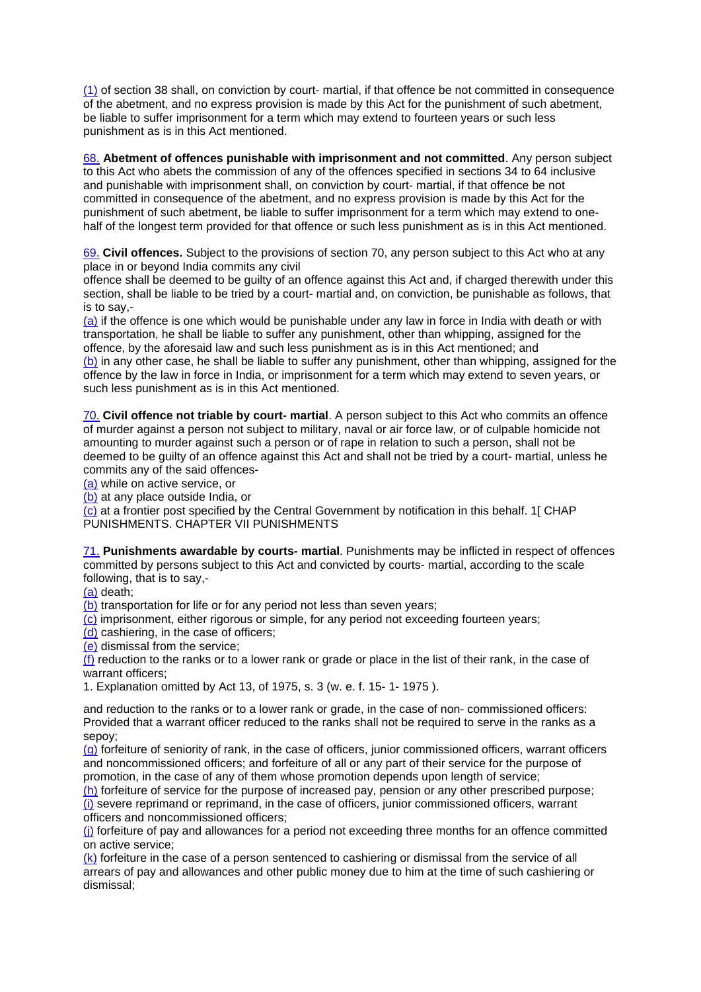(1) of section 38 shall, on conviction by court- martial, if that offence be not committed in consequence of the abetment, and no express provision is made by this Act for the punishment of such abetment, be liable to suffer imprisonment for a term which may extend to fourteen years or such less punishment as is in this Act mentioned.

68. **Abetment of offences punishable with imprisonment and not committed**. Any person subject to this Act who abets the commission of any of the offences specified in sections 34 to 64 inclusive and punishable with imprisonment shall, on conviction by court- martial, if that offence be not committed in consequence of the abetment, and no express provision is made by this Act for the punishment of such abetment, be liable to suffer imprisonment for a term which may extend to onehalf of the longest term provided for that offence or such less punishment as is in this Act mentioned.

69. **Civil offences.** Subject to the provisions of section 70, any person subject to this Act who at any place in or beyond India commits any civil

offence shall be deemed to be guilty of an offence against this Act and, if charged therewith under this section, shall be liable to be tried by a court- martial and, on conviction, be punishable as follows, that is to say,-

(a) if the offence is one which would be punishable under any law in force in India with death or with transportation, he shall be liable to suffer any punishment, other than whipping, assigned for the offence, by the aforesaid law and such less punishment as is in this Act mentioned; and

(b) in any other case, he shall be liable to suffer any punishment, other than whipping, assigned for the offence by the law in force in India, or imprisonment for a term which may extend to seven years, or such less punishment as is in this Act mentioned.

70. **Civil offence not triable by court- martial**. A person subject to this Act who commits an offence of murder against a person not subject to military, naval or air force law, or of culpable homicide not amounting to murder against such a person or of rape in relation to such a person, shall not be deemed to be guilty of an offence against this Act and shall not be tried by a court- martial, unless he commits any of the said offences-

(a) while on active service, or

(b) at any place outside India, or

(c) at a frontier post specified by the Central Government by notification in this behalf. 1[ CHAP PUNISHMENTS. CHAPTER VII PUNISHMENTS

71. **Punishments awardable by courts- martial**. Punishments may be inflicted in respect of offences committed by persons subject to this Act and convicted by courts- martial, according to the scale following, that is to say,-

(a) death;

(b) transportation for life or for any period not less than seven years;

(c) imprisonment, either rigorous or simple, for any period not exceeding fourteen years;

(d) cashiering, in the case of officers;

(e) dismissal from the service;

(f) reduction to the ranks or to a lower rank or grade or place in the list of their rank, in the case of warrant officers;

1. Explanation omitted by Act 13, of 1975, s. 3 (w. e. f. 15- 1- 1975 ).

and reduction to the ranks or to a lower rank or grade, in the case of non- commissioned officers: Provided that a warrant officer reduced to the ranks shall not be required to serve in the ranks as a sepoy;

(g) forfeiture of seniority of rank, in the case of officers, junior commissioned officers, warrant officers and noncommissioned officers; and forfeiture of all or any part of their service for the purpose of promotion, in the case of any of them whose promotion depends upon length of service;

(h) forfeiture of service for the purpose of increased pay, pension or any other prescribed purpose; (i) severe reprimand or reprimand, in the case of officers, junior commissioned officers, warrant officers and noncommissioned officers;

(i) forfeiture of pay and allowances for a period not exceeding three months for an offence committed on active service;

(k) forfeiture in the case of a person sentenced to cashiering or dismissal from the service of all arrears of pay and allowances and other public money due to him at the time of such cashiering or dismissal;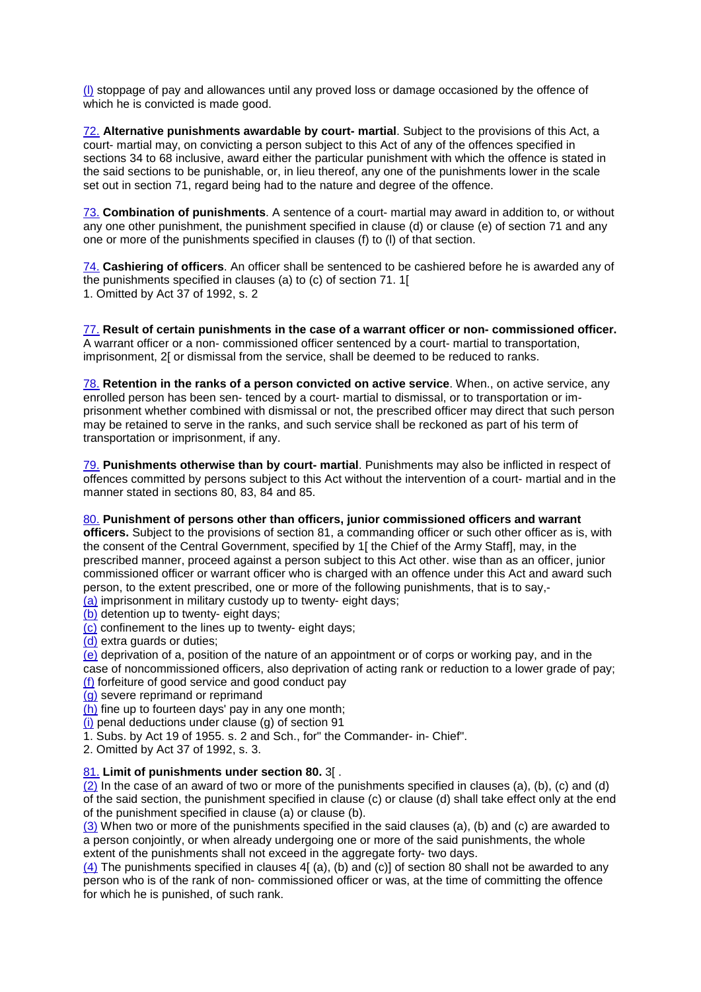(l) stoppage of pay and allowances until any proved loss or damage occasioned by the offence of which he is convicted is made good.

72. **Alternative punishments awardable by court- martial**. Subject to the provisions of this Act, a court- martial may, on convicting a person subject to this Act of any of the offences specified in sections 34 to 68 inclusive, award either the particular punishment with which the offence is stated in the said sections to be punishable, or, in lieu thereof, any one of the punishments lower in the scale set out in section 71, regard being had to the nature and degree of the offence.

73. **Combination of punishments**. A sentence of a court- martial may award in addition to, or without any one other punishment, the punishment specified in clause (d) or clause (e) of section 71 and any one or more of the punishments specified in clauses (f) to (l) of that section.

74. **Cashiering of officers**. An officer shall be sentenced to be cashiered before he is awarded any of the punishments specified in clauses (a) to (c) of section 71. 1[ 1. Omitted by Act 37 of 1992, s. 2

77. **Result of certain punishments in the case of a warrant officer or non- commissioned officer.** A warrant officer or a non- commissioned officer sentenced by a court- martial to transportation, imprisonment, 2[ or dismissal from the service, shall be deemed to be reduced to ranks.

78. **Retention in the ranks of a person convicted on active service**. When., on active service, any enrolled person has been sen- tenced by a court- martial to dismissal, or to transportation or imprisonment whether combined with dismissal or not, the prescribed officer may direct that such person may be retained to serve in the ranks, and such service shall be reckoned as part of his term of transportation or imprisonment, if any.

79. **Punishments otherwise than by court- martial**. Punishments may also be inflicted in respect of offences committed by persons subject to this Act without the intervention of a court- martial and in the manner stated in sections 80, 83, 84 and 85.

#### 80. **Punishment of persons other than officers, junior commissioned officers and warrant**

**officers.** Subject to the provisions of section 81, a commanding officer or such other officer as is, with the consent of the Central Government, specified by 1[ the Chief of the Army Staff], may, in the prescribed manner, proceed against a person subject to this Act other. wise than as an officer, junior commissioned officer or warrant officer who is charged with an offence under this Act and award such person, to the extent prescribed, one or more of the following punishments, that is to say,-

(a) imprisonment in military custody up to twenty- eight days;

(b) detention up to twenty- eight days;

(c) confinement to the lines up to twenty- eight days;

(d) extra guards or duties;

(e) deprivation of a, position of the nature of an appointment or of corps or working pay, and in the case of noncommissioned officers, also deprivation of acting rank or reduction to a lower grade of pay;

- (f) forfeiture of good service and good conduct pay
- (g) severe reprimand or reprimand
- (h) fine up to fourteen days' pay in any one month;
- (i) penal deductions under clause (g) of section 91
- 1. Subs. by Act 19 of 1955. s. 2 and Sch., for" the Commander- in- Chief".
- 2. Omitted by Act 37 of 1992, s. 3.

# 81. **Limit of punishments under section 80.** 3[ .

(2) In the case of an award of two or more of the punishments specified in clauses (a), (b), (c) and (d) of the said section, the punishment specified in clause (c) or clause (d) shall take effect only at the end of the punishment specified in clause (a) or clause (b).

(3) When two or more of the punishments specified in the said clauses (a), (b) and (c) are awarded to a person conjointly, or when already undergoing one or more of the said punishments, the whole extent of the punishments shall not exceed in the aggregate forty- two days.

(4) The punishments specified in clauses 4[ (a), (b) and (c)] of section 80 shall not be awarded to any person who is of the rank of non- commissioned officer or was, at the time of committing the offence for which he is punished, of such rank.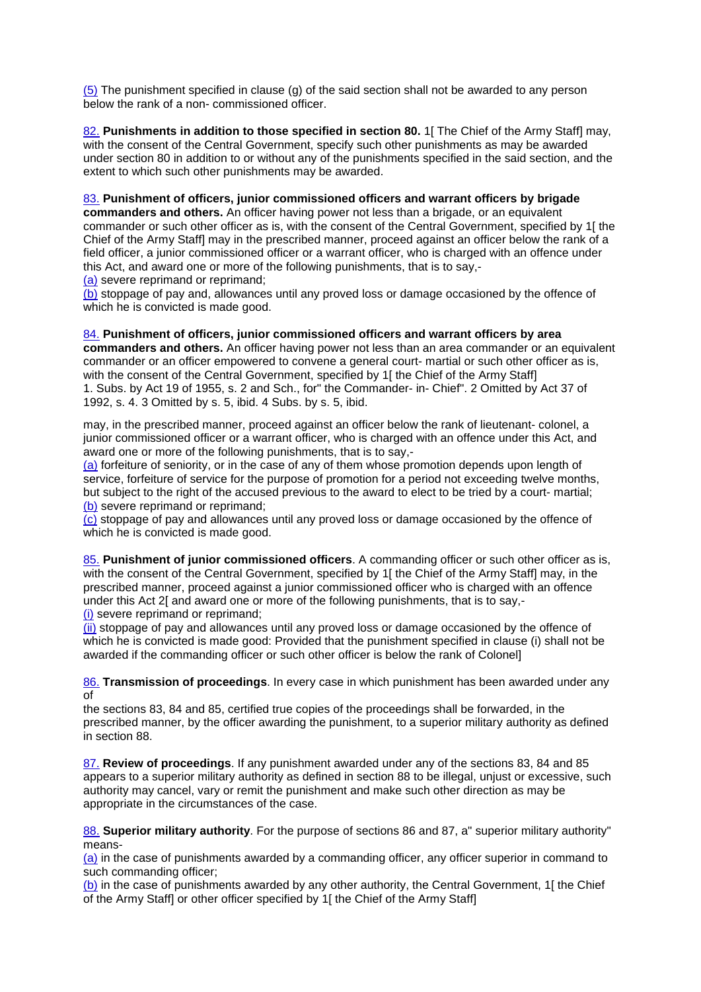(5) The punishment specified in clause (g) of the said section shall not be awarded to any person below the rank of a non- commissioned officer.

82. **Punishments in addition to those specified in section 80.** 1 The Chief of the Army Staff] may, with the consent of the Central Government, specify such other punishments as may be awarded under section 80 in addition to or without any of the punishments specified in the said section, and the extent to which such other punishments may be awarded.

83. **Punishment of officers, junior commissioned officers and warrant officers by brigade commanders and others.** An officer having power not less than a brigade, or an equivalent commander or such other officer as is, with the consent of the Central Government, specified by 1[ the Chief of the Army Staff] may in the prescribed manner, proceed against an officer below the rank of a field officer, a junior commissioned officer or a warrant officer, who is charged with an offence under this Act, and award one or more of the following punishments, that is to say,- (a) severe reprimand or reprimand;

(b) stoppage of pay and, allowances until any proved loss or damage occasioned by the offence of which he is convicted is made good.

84. **Punishment of officers, junior commissioned officers and warrant officers by area commanders and others.** An officer having power not less than an area commander or an equivalent commander or an officer empowered to convene a general court- martial or such other officer as is, with the consent of the Central Government, specified by 1[ the Chief of the Army Staff] 1. Subs. by Act 19 of 1955, s. 2 and Sch., for" the Commander- in- Chief". 2 Omitted by Act 37 of 1992, s. 4. 3 Omitted by s. 5, ibid. 4 Subs. by s. 5, ibid.

may, in the prescribed manner, proceed against an officer below the rank of lieutenant- colonel, a junior commissioned officer or a warrant officer, who is charged with an offence under this Act, and award one or more of the following punishments, that is to say,-

(a) forfeiture of seniority, or in the case of any of them whose promotion depends upon length of service, forfeiture of service for the purpose of promotion for a period not exceeding twelve months, but subject to the right of the accused previous to the award to elect to be tried by a court- martial; (b) severe reprimand or reprimand;

(c) stoppage of pay and allowances until any proved loss or damage occasioned by the offence of which he is convicted is made good.

85. **Punishment of junior commissioned officers**. A commanding officer or such other officer as is, with the consent of the Central Government, specified by 1[ the Chief of the Army Staff] may, in the prescribed manner, proceed against a junior commissioned officer who is charged with an offence under this Act 2[ and award one or more of the following punishments, that is to say,- (i) severe reprimand or reprimand;

(ii) stoppage of pay and allowances until any proved loss or damage occasioned by the offence of which he is convicted is made good: Provided that the punishment specified in clause (i) shall not be awarded if the commanding officer or such other officer is below the rank of Colonel]

86. **Transmission of proceedings**. In every case in which punishment has been awarded under any of

the sections 83, 84 and 85, certified true copies of the proceedings shall be forwarded, in the prescribed manner, by the officer awarding the punishment, to a superior military authority as defined in section 88.

87. **Review of proceedings**. If any punishment awarded under any of the sections 83, 84 and 85 appears to a superior military authority as defined in section 88 to be illegal, unjust or excessive, such authority may cancel, vary or remit the punishment and make such other direction as may be appropriate in the circumstances of the case.

88. **Superior military authority**. For the purpose of sections 86 and 87, a" superior military authority" means-

(a) in the case of punishments awarded by a commanding officer, any officer superior in command to such commanding officer;

(b) in the case of punishments awarded by any other authority, the Central Government, 1[the Chief of the Army Staff] or other officer specified by 1[ the Chief of the Army Staff]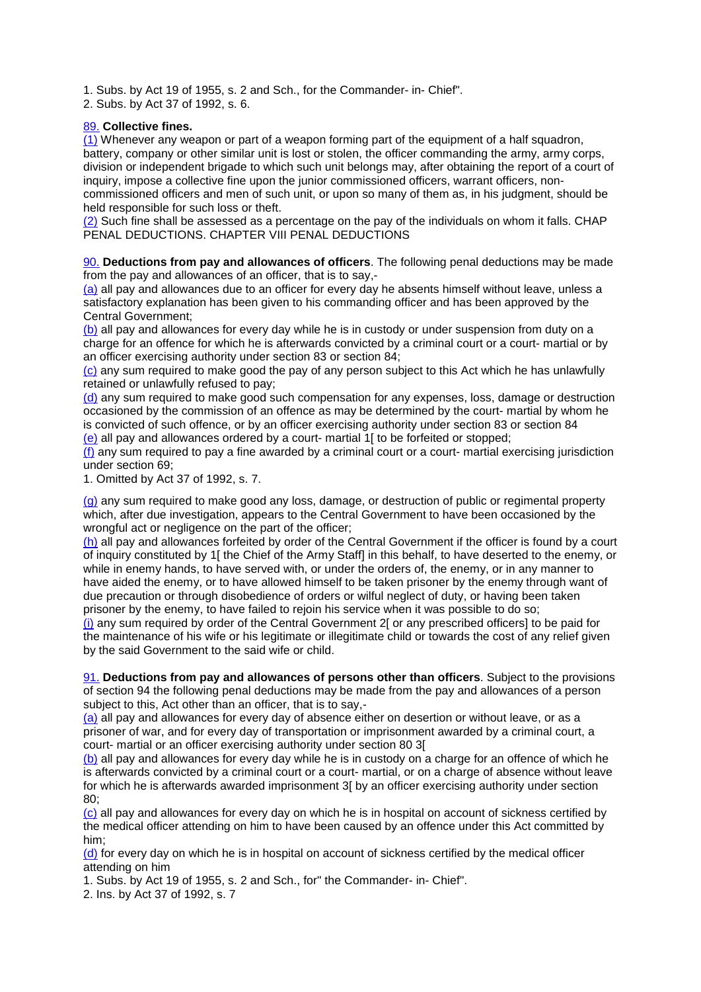1. Subs. by Act 19 of 1955, s. 2 and Sch., for the Commander- in- Chief".

2. Subs. by Act 37 of 1992, s. 6.

# 89. **Collective fines.**

 $(1)$  Whenever any weapon or part of a weapon forming part of the equipment of a half squadron, battery, company or other similar unit is lost or stolen, the officer commanding the army, army corps, division or independent brigade to which such unit belongs may, after obtaining the report of a court of inquiry, impose a collective fine upon the junior commissioned officers, warrant officers, non-

commissioned officers and men of such unit, or upon so many of them as, in his judgment, should be held responsible for such loss or theft.

(2) Such fine shall be assessed as a percentage on the pay of the individuals on whom it falls. CHAP PENAL DEDUCTIONS. CHAPTER VIII PENAL DEDUCTIONS

90. **Deductions from pay and allowances of officers**. The following penal deductions may be made from the pay and allowances of an officer, that is to say,-

(a) all pay and allowances due to an officer for every day he absents himself without leave, unless a satisfactory explanation has been given to his commanding officer and has been approved by the Central Government;

(b) all pay and allowances for every day while he is in custody or under suspension from duty on a charge for an offence for which he is afterwards convicted by a criminal court or a court- martial or by an officer exercising authority under section 83 or section 84;

(c) any sum required to make good the pay of any person subject to this Act which he has unlawfully retained or unlawfully refused to pay;

(d) any sum required to make good such compensation for any expenses, loss, damage or destruction occasioned by the commission of an offence as may be determined by the court- martial by whom he is convicted of such offence, or by an officer exercising authority under section 83 or section 84 (e) all pay and allowances ordered by a court- martial 1[ to be forfeited or stopped;

(f) any sum required to pay a fine awarded by a criminal court or a court- martial exercising jurisdiction under section 69;

1. Omitted by Act 37 of 1992, s. 7.

(g) any sum required to make good any loss, damage, or destruction of public or regimental property which, after due investigation, appears to the Central Government to have been occasioned by the wrongful act or negligence on the part of the officer;

(h) all pay and allowances forfeited by order of the Central Government if the officer is found by a court of inquiry constituted by 1[ the Chief of the Army Staff] in this behalf, to have deserted to the enemy, or while in enemy hands, to have served with, or under the orders of, the enemy, or in any manner to have aided the enemy, or to have allowed himself to be taken prisoner by the enemy through want of due precaution or through disobedience of orders or wilful neglect of duty, or having been taken prisoner by the enemy, to have failed to rejoin his service when it was possible to do so;

(i) any sum required by order of the Central Government 2[ or any prescribed officers] to be paid for the maintenance of his wife or his legitimate or illegitimate child or towards the cost of any relief given by the said Government to the said wife or child.

91. **Deductions from pay and allowances of persons other than officers**. Subject to the provisions of section 94 the following penal deductions may be made from the pay and allowances of a person subject to this, Act other than an officer, that is to say,-

(a) all pay and allowances for every day of absence either on desertion or without leave, or as a prisoner of war, and for every day of transportation or imprisonment awarded by a criminal court, a court- martial or an officer exercising authority under section 80 3[

(b) all pay and allowances for every day while he is in custody on a charge for an offence of which he is afterwards convicted by a criminal court or a court- martial, or on a charge of absence without leave for which he is afterwards awarded imprisonment 3[ by an officer exercising authority under section 80;

(c) all pay and allowances for every day on which he is in hospital on account of sickness certified by the medical officer attending on him to have been caused by an offence under this Act committed by him;

(d) for every day on which he is in hospital on account of sickness certified by the medical officer attending on him

1. Subs. by Act 19 of 1955, s. 2 and Sch., for" the Commander- in- Chief".

2. Ins. by Act 37 of 1992, s. 7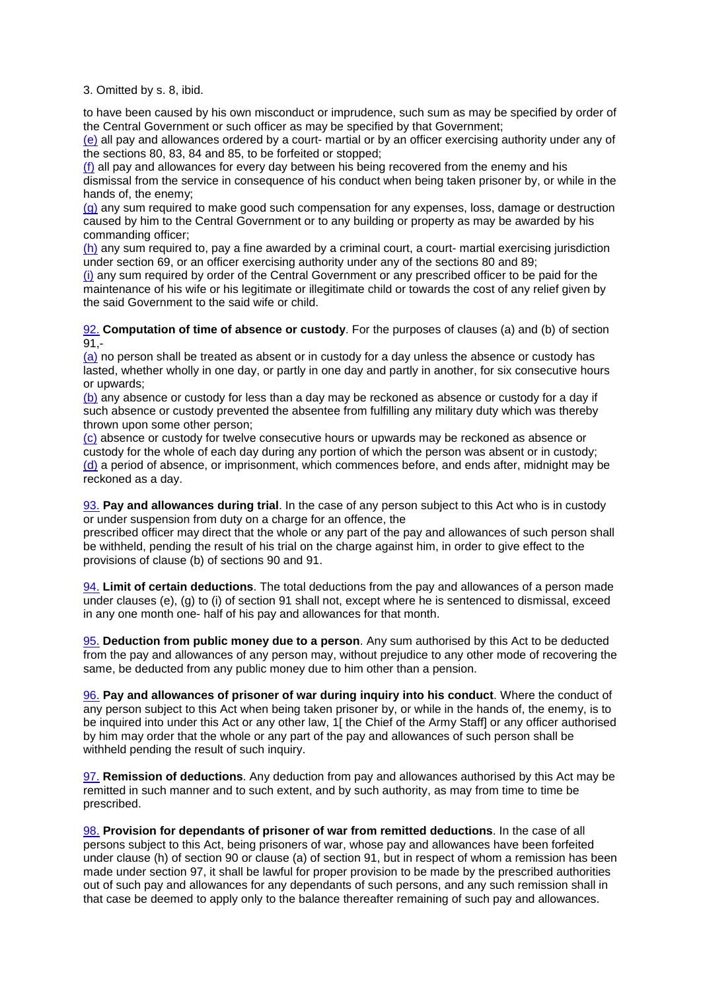#### 3. Omitted by s. 8, ibid.

to have been caused by his own misconduct or imprudence, such sum as may be specified by order of the Central Government or such officer as may be specified by that Government;

(e) all pay and allowances ordered by a court- martial or by an officer exercising authority under any of the sections 80, 83, 84 and 85, to be forfeited or stopped;

(f) all pay and allowances for every day between his being recovered from the enemy and his dismissal from the service in consequence of his conduct when being taken prisoner by, or while in the hands of, the enemy;

(g) any sum required to make good such compensation for any expenses, loss, damage or destruction caused by him to the Central Government or to any building or property as may be awarded by his commanding officer;

(h) any sum required to, pay a fine awarded by a criminal court, a court- martial exercising jurisdiction under section 69, or an officer exercising authority under any of the sections 80 and 89;

(i) any sum required by order of the Central Government or any prescribed officer to be paid for the maintenance of his wife or his legitimate or illegitimate child or towards the cost of any relief given by the said Government to the said wife or child.

92. **Computation of time of absence or custody**. For the purposes of clauses (a) and (b) of section 91,-

(a) no person shall be treated as absent or in custody for a day unless the absence or custody has lasted, whether wholly in one day, or partly in one day and partly in another, for six consecutive hours or upwards;

(b) any absence or custody for less than a day may be reckoned as absence or custody for a day if such absence or custody prevented the absentee from fulfilling any military duty which was thereby thrown upon some other person;

(c) absence or custody for twelve consecutive hours or upwards may be reckoned as absence or custody for the whole of each day during any portion of which the person was absent or in custody; (d) a period of absence, or imprisonment, which commences before, and ends after, midnight may be reckoned as a day.

93. **Pay and allowances during trial**. In the case of any person subject to this Act who is in custody or under suspension from duty on a charge for an offence, the

prescribed officer may direct that the whole or any part of the pay and allowances of such person shall be withheld, pending the result of his trial on the charge against him, in order to give effect to the provisions of clause (b) of sections 90 and 91.

94. **Limit of certain deductions**. The total deductions from the pay and allowances of a person made under clauses (e), (g) to (i) of section 91 shall not, except where he is sentenced to dismissal, exceed in any one month one- half of his pay and allowances for that month.

95. **Deduction from public money due to a person**. Any sum authorised by this Act to be deducted from the pay and allowances of any person may, without prejudice to any other mode of recovering the same, be deducted from any public money due to him other than a pension.

96. **Pay and allowances of prisoner of war during inquiry into his conduct**. Where the conduct of any person subject to this Act when being taken prisoner by, or while in the hands of, the enemy, is to be inquired into under this Act or any other law, 1[ the Chief of the Army Staff] or any officer authorised by him may order that the whole or any part of the pay and allowances of such person shall be withheld pending the result of such inquiry.

97. **Remission of deductions**. Any deduction from pay and allowances authorised by this Act may be remitted in such manner and to such extent, and by such authority, as may from time to time be prescribed.

98. **Provision for dependants of prisoner of war from remitted deductions**. In the case of all persons subject to this Act, being prisoners of war, whose pay and allowances have been forfeited under clause (h) of section 90 or clause (a) of section 91, but in respect of whom a remission has been made under section 97, it shall be lawful for proper provision to be made by the prescribed authorities out of such pay and allowances for any dependants of such persons, and any such remission shall in that case be deemed to apply only to the balance thereafter remaining of such pay and allowances.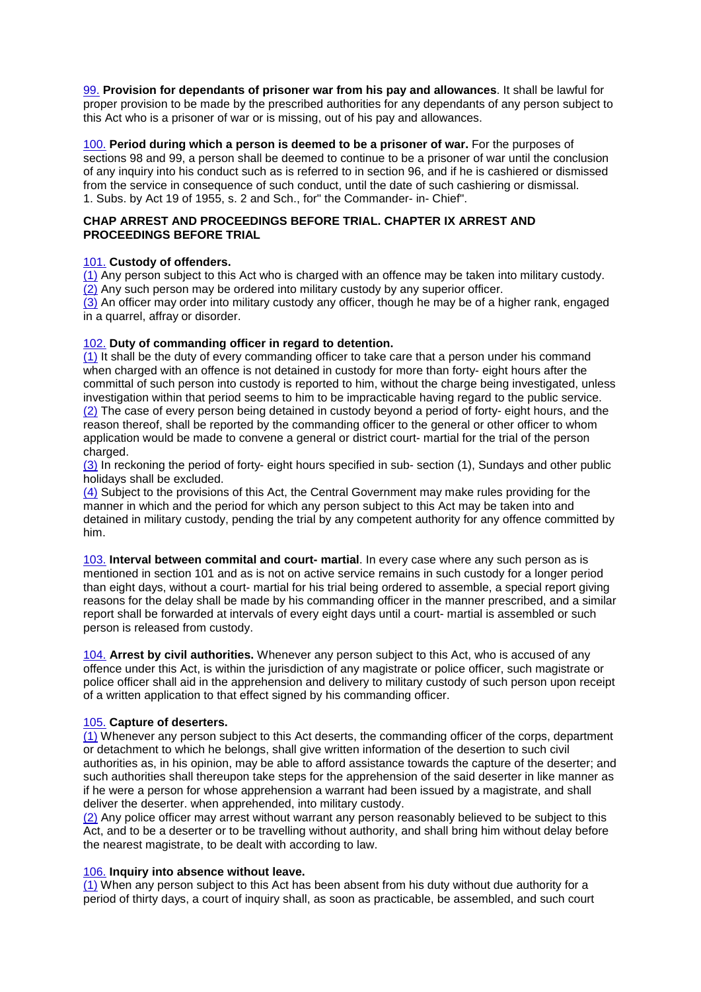99. **Provision for dependants of prisoner war from his pay and allowances**. It shall be lawful for proper provision to be made by the prescribed authorities for any dependants of any person subject to this Act who is a prisoner of war or is missing, out of his pay and allowances.

100. **Period during which a person is deemed to be a prisoner of war.** For the purposes of sections 98 and 99, a person shall be deemed to continue to be a prisoner of war until the conclusion of any inquiry into his conduct such as is referred to in section 96, and if he is cashiered or dismissed from the service in consequence of such conduct, until the date of such cashiering or dismissal. 1. Subs. by Act 19 of 1955, s. 2 and Sch., for" the Commander- in- Chief".

# **CHAP ARREST AND PROCEEDINGS BEFORE TRIAL. CHAPTER IX ARREST AND PROCEEDINGS BEFORE TRIAL**

# 101. **Custody of offenders.**

(1) Any person subject to this Act who is charged with an offence may be taken into military custody. (2) Any such person may be ordered into military custody by any superior officer.

(3) An officer may order into military custody any officer, though he may be of a higher rank, engaged in a quarrel, affray or disorder.

# 102. **Duty of commanding officer in regard to detention.**

(1) It shall be the duty of every commanding officer to take care that a person under his command when charged with an offence is not detained in custody for more than forty- eight hours after the committal of such person into custody is reported to him, without the charge being investigated, unless investigation within that period seems to him to be impracticable having regard to the public service. (2) The case of every person being detained in custody beyond a period of forty- eight hours, and the reason thereof, shall be reported by the commanding officer to the general or other officer to whom application would be made to convene a general or district court- martial for the trial of the person charged.

(3) In reckoning the period of forty- eight hours specified in sub- section (1), Sundays and other public holidays shall be excluded.

(4) Subject to the provisions of this Act, the Central Government may make rules providing for the manner in which and the period for which any person subject to this Act may be taken into and detained in military custody, pending the trial by any competent authority for any offence committed by him.

103. **Interval between commital and court- martial**. In every case where any such person as is mentioned in section 101 and as is not on active service remains in such custody for a longer period than eight days, without a court- martial for his trial being ordered to assemble, a special report giving reasons for the delay shall be made by his commanding officer in the manner prescribed, and a similar report shall be forwarded at intervals of every eight days until a court- martial is assembled or such person is released from custody.

104. **Arrest by civil authorities.** Whenever any person subject to this Act, who is accused of any offence under this Act, is within the jurisdiction of any magistrate or police officer, such magistrate or police officer shall aid in the apprehension and delivery to military custody of such person upon receipt of a written application to that effect signed by his commanding officer.

#### 105. **Capture of deserters.**

(1) Whenever any person subject to this Act deserts, the commanding officer of the corps, department or detachment to which he belongs, shall give written information of the desertion to such civil authorities as, in his opinion, may be able to afford assistance towards the capture of the deserter; and such authorities shall thereupon take steps for the apprehension of the said deserter in like manner as if he were a person for whose apprehension a warrant had been issued by a magistrate, and shall deliver the deserter. when apprehended, into military custody.

(2) Any police officer may arrest without warrant any person reasonably believed to be subject to this Act, and to be a deserter or to be travelling without authority, and shall bring him without delay before the nearest magistrate, to be dealt with according to law.

#### 106. **Inquiry into absence without leave.**

(1) When any person subject to this Act has been absent from his duty without due authority for a period of thirty days, a court of inquiry shall, as soon as practicable, be assembled, and such court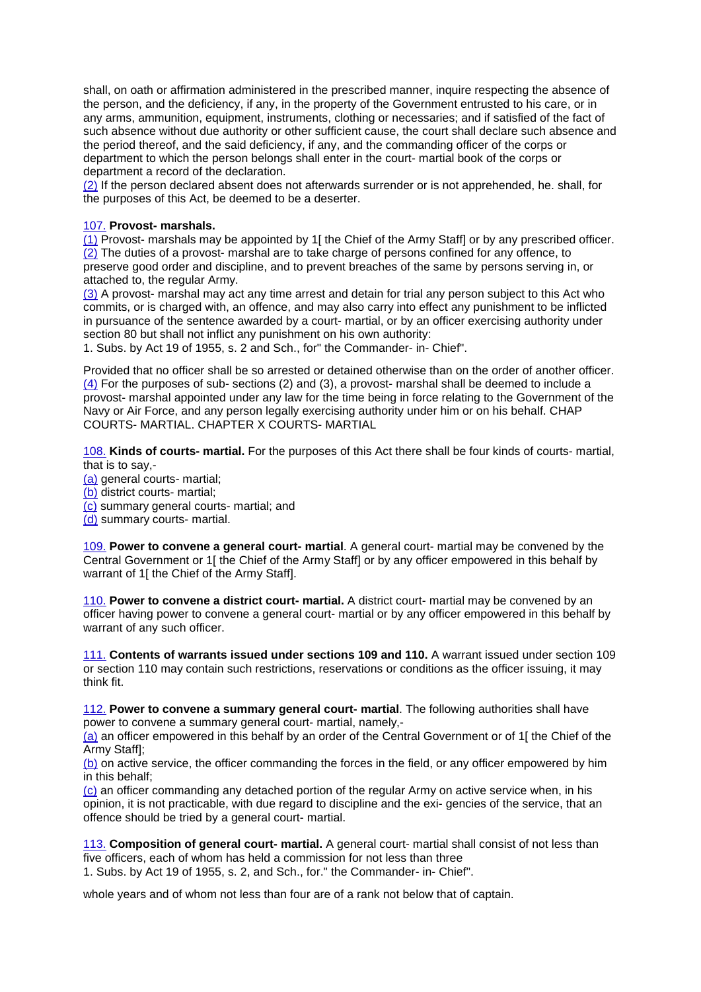shall, on oath or affirmation administered in the prescribed manner, inquire respecting the absence of the person, and the deficiency, if any, in the property of the Government entrusted to his care, or in any arms, ammunition, equipment, instruments, clothing or necessaries; and if satisfied of the fact of such absence without due authority or other sufficient cause, the court shall declare such absence and the period thereof, and the said deficiency, if any, and the commanding officer of the corps or department to which the person belongs shall enter in the court- martial book of the corps or department a record of the declaration.

(2) If the person declared absent does not afterwards surrender or is not apprehended, he. shall, for the purposes of this Act, be deemed to be a deserter.

# 107. **Provost- marshals.**

(1) Provost- marshals may be appointed by 1[ the Chief of the Army Staff] or by any prescribed officer.  $(2)$  The duties of a provost- marshal are to take charge of persons confined for any offence, to preserve good order and discipline, and to prevent breaches of the same by persons serving in, or attached to, the regular Army.

(3) A provost- marshal may act any time arrest and detain for trial any person subject to this Act who commits, or is charged with, an offence, and may also carry into effect any punishment to be inflicted in pursuance of the sentence awarded by a court- martial, or by an officer exercising authority under section 80 but shall not inflict any punishment on his own authority:

1. Subs. by Act 19 of 1955, s. 2 and Sch., for" the Commander- in- Chief".

Provided that no officer shall be so arrested or detained otherwise than on the order of another officer. (4) For the purposes of sub- sections (2) and (3), a provost- marshal shall be deemed to include a provost- marshal appointed under any law for the time being in force relating to the Government of the Navy or Air Force, and any person legally exercising authority under him or on his behalf. CHAP COURTS- MARTIAL. CHAPTER X COURTS- MARTIAL

108. **Kinds of courts- martial.** For the purposes of this Act there shall be four kinds of courts- martial, that is to say,-

- (a) general courts- martial;
- (b) district courts- martial;
- (c) summary general courts- martial; and
- (d) summary courts- martial.

109. **Power to convene a general court- martial**. A general court- martial may be convened by the Central Government or 1[ the Chief of the Army Staff] or by any officer empowered in this behalf by warrant of 1[ the Chief of the Army Staff].

110. **Power to convene a district court- martial.** A district court- martial may be convened by an officer having power to convene a general court- martial or by any officer empowered in this behalf by warrant of any such officer.

111. **Contents of warrants issued under sections 109 and 110.** A warrant issued under section 109 or section 110 may contain such restrictions, reservations or conditions as the officer issuing, it may think fit.

112. **Power to convene a summary general court- martial**. The following authorities shall have power to convene a summary general court- martial, namely,-

(a) an officer empowered in this behalf by an order of the Central Government or of 1[ the Chief of the Army Staff];

(b) on active service, the officer commanding the forces in the field, or any officer empowered by him in this behalf;

(c) an officer commanding any detached portion of the regular Army on active service when, in his opinion, it is not practicable, with due regard to discipline and the exi- gencies of the service, that an offence should be tried by a general court- martial.

113. **Composition of general court- martial.** A general court- martial shall consist of not less than five officers, each of whom has held a commission for not less than three 1. Subs. by Act 19 of 1955, s. 2, and Sch., for." the Commander- in- Chief".

whole years and of whom not less than four are of a rank not below that of captain.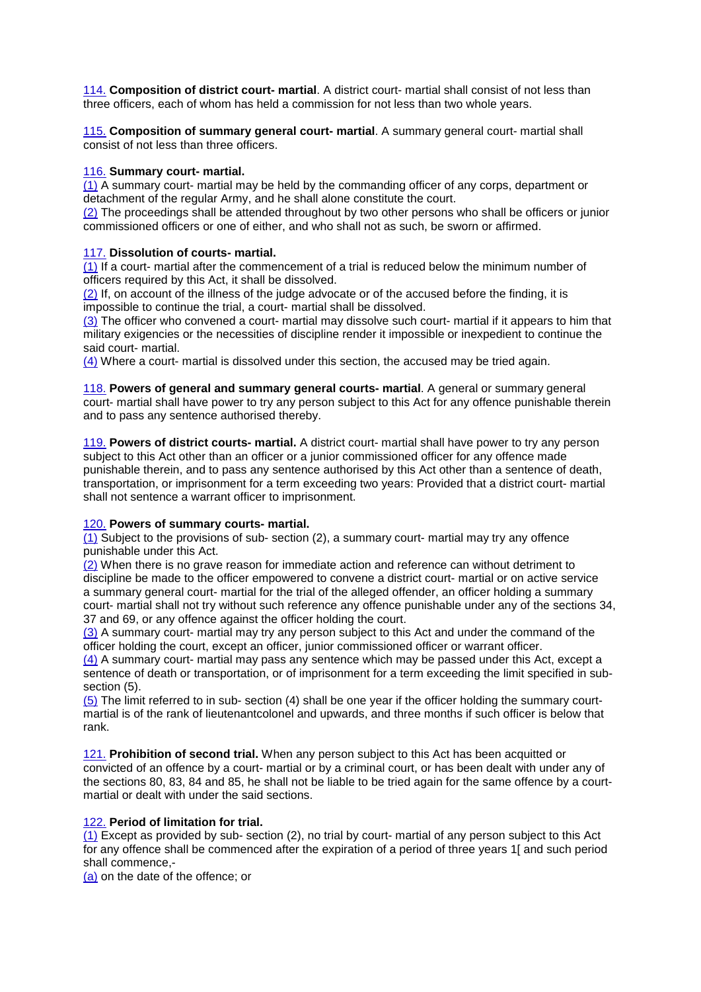114. **Composition of district court- martial**. A district court- martial shall consist of not less than three officers, each of whom has held a commission for not less than two whole years.

115. **Composition of summary general court- martial**. A summary general court- martial shall consist of not less than three officers.

# 116. **Summary court- martial.**

(1) A summary court- martial may be held by the commanding officer of any corps, department or detachment of the regular Army, and he shall alone constitute the court.

(2) The proceedings shall be attended throughout by two other persons who shall be officers or junior commissioned officers or one of either, and who shall not as such, be sworn or affirmed.

# 117. **Dissolution of courts- martial.**

 $(1)$  If a court- martial after the commencement of a trial is reduced below the minimum number of officers required by this Act, it shall be dissolved.

(2) If, on account of the illness of the judge advocate or of the accused before the finding, it is impossible to continue the trial, a court- martial shall be dissolved.

(3) The officer who convened a court- martial may dissolve such court- martial if it appears to him that military exigencies or the necessities of discipline render it impossible or inexpedient to continue the said court- martial.

(4) Where a court- martial is dissolved under this section, the accused may be tried again.

118. **Powers of general and summary general courts- martial**. A general or summary general court- martial shall have power to try any person subject to this Act for any offence punishable therein and to pass any sentence authorised thereby.

119. **Powers of district courts- martial.** A district court- martial shall have power to try any person subject to this Act other than an officer or a junior commissioned officer for any offence made punishable therein, and to pass any sentence authorised by this Act other than a sentence of death, transportation, or imprisonment for a term exceeding two years: Provided that a district court- martial shall not sentence a warrant officer to imprisonment.

#### 120. **Powers of summary courts- martial.**

 $\overline{(1)}$  Subject to the provisions of sub- section (2), a summary court- martial may try any offence punishable under this Act.

(2) When there is no grave reason for immediate action and reference can without detriment to discipline be made to the officer empowered to convene a district court- martial or on active service a summary general court- martial for the trial of the alleged offender, an officer holding a summary court- martial shall not try without such reference any offence punishable under any of the sections 34, 37 and 69, or any offence against the officer holding the court.

(3) A summary court- martial may try any person subject to this Act and under the command of the officer holding the court, except an officer, junior commissioned officer or warrant officer.

(4) A summary court- martial may pass any sentence which may be passed under this Act, except a sentence of death or transportation, or of imprisonment for a term exceeding the limit specified in subsection (5).

(5) The limit referred to in sub- section (4) shall be one year if the officer holding the summary courtmartial is of the rank of lieutenantcolonel and upwards, and three months if such officer is below that rank.

121. **Prohibition of second trial.** When any person subject to this Act has been acquitted or convicted of an offence by a court- martial or by a criminal court, or has been dealt with under any of the sections 80, 83, 84 and 85, he shall not be liable to be tried again for the same offence by a courtmartial or dealt with under the said sections.

# 122. **Period of limitation for trial.**

(1) Except as provided by sub- section (2), no trial by court- martial of any person subject to this Act for any offence shall be commenced after the expiration of a period of three years 1[ and such period shall commence,-

(a) on the date of the offence; or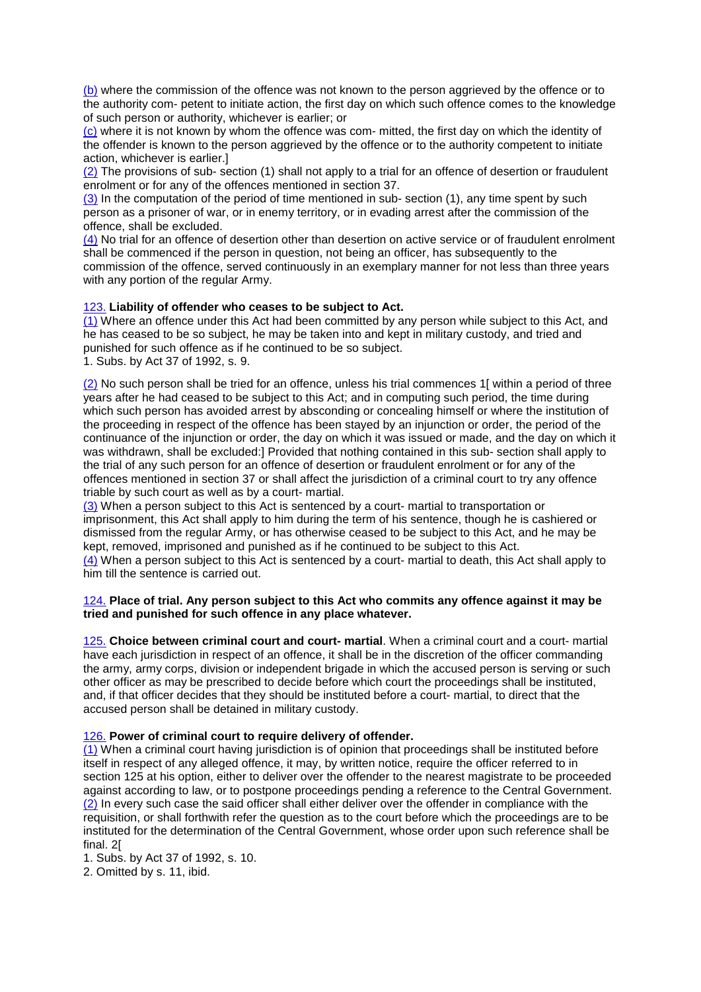(b) where the commission of the offence was not known to the person aggrieved by the offence or to the authority com- petent to initiate action, the first day on which such offence comes to the knowledge of such person or authority, whichever is earlier; or

(c) where it is not known by whom the offence was com- mitted, the first day on which the identity of the offender is known to the person aggrieved by the offence or to the authority competent to initiate action, whichever is earlier.]

(2) The provisions of sub- section (1) shall not apply to a trial for an offence of desertion or fraudulent enrolment or for any of the offences mentioned in section 37.

(3) In the computation of the period of time mentioned in sub- section (1), any time spent by such person as a prisoner of war, or in enemy territory, or in evading arrest after the commission of the offence, shall be excluded.

(4) No trial for an offence of desertion other than desertion on active service or of fraudulent enrolment shall be commenced if the person in question, not being an officer, has subsequently to the commission of the offence, served continuously in an exemplary manner for not less than three years with any portion of the regular Army.

# 123. **Liability of offender who ceases to be subject to Act.**

(1) Where an offence under this Act had been committed by any person while subject to this Act, and he has ceased to be so subject, he may be taken into and kept in military custody, and tried and punished for such offence as if he continued to be so subject.

1. Subs. by Act 37 of 1992, s. 9.

(2) No such person shall be tried for an offence, unless his trial commences 1[ within a period of three years after he had ceased to be subject to this Act; and in computing such period, the time during which such person has avoided arrest by absconding or concealing himself or where the institution of the proceeding in respect of the offence has been stayed by an injunction or order, the period of the continuance of the injunction or order, the day on which it was issued or made, and the day on which it was withdrawn, shall be excluded:] Provided that nothing contained in this sub- section shall apply to the trial of any such person for an offence of desertion or fraudulent enrolment or for any of the offences mentioned in section 37 or shall affect the jurisdiction of a criminal court to try any offence triable by such court as well as by a court- martial.

(3) When a person subject to this Act is sentenced by a court- martial to transportation or imprisonment, this Act shall apply to him during the term of his sentence, though he is cashiered or dismissed from the regular Army, or has otherwise ceased to be subject to this Act, and he may be kept, removed, imprisoned and punished as if he continued to be subject to this Act.

(4) When a person subject to this Act is sentenced by a court- martial to death, this Act shall apply to him till the sentence is carried out.

# 124. **Place of trial. Any person subject to this Act who commits any offence against it may be tried and punished for such offence in any place whatever.**

125. **Choice between criminal court and court- martial**. When a criminal court and a court- martial have each jurisdiction in respect of an offence, it shall be in the discretion of the officer commanding the army, army corps, division or independent brigade in which the accused person is serving or such other officer as may be prescribed to decide before which court the proceedings shall be instituted, and, if that officer decides that they should be instituted before a court- martial, to direct that the accused person shall be detained in military custody.

#### 126. **Power of criminal court to require delivery of offender.**

(1) When a criminal court having jurisdiction is of opinion that proceedings shall be instituted before itself in respect of any alleged offence, it may, by written notice, require the officer referred to in section 125 at his option, either to deliver over the offender to the nearest magistrate to be proceeded against according to law, or to postpone proceedings pending a reference to the Central Government. (2) In every such case the said officer shall either deliver over the offender in compliance with the requisition, or shall forthwith refer the question as to the court before which the proceedings are to be instituted for the determination of the Central Government, whose order upon such reference shall be final. 2[

1. Subs. by Act 37 of 1992, s. 10.

2. Omitted by s. 11, ibid.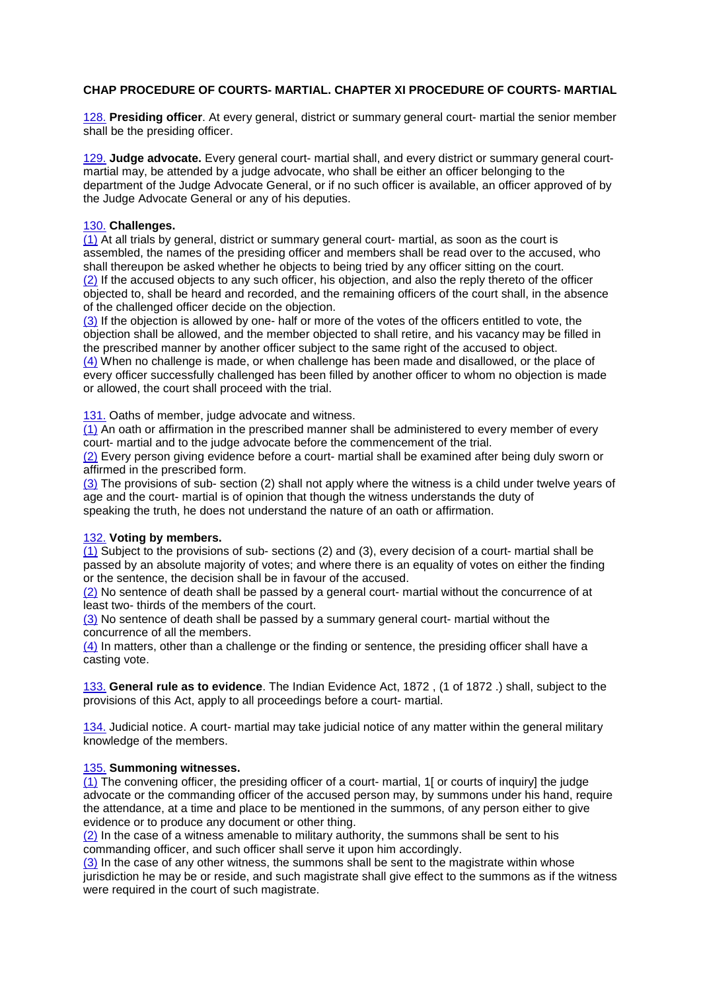# **CHAP PROCEDURE OF COURTS- MARTIAL. CHAPTER XI PROCEDURE OF COURTS- MARTIAL**

128. **Presiding officer**. At every general, district or summary general court- martial the senior member shall be the presiding officer.

129. **Judge advocate.** Every general court- martial shall, and every district or summary general courtmartial may, be attended by a judge advocate, who shall be either an officer belonging to the department of the Judge Advocate General, or if no such officer is available, an officer approved of by the Judge Advocate General or any of his deputies.

# 130. **Challenges.**

(1) At all trials by general, district or summary general court- martial, as soon as the court is assembled, the names of the presiding officer and members shall be read over to the accused, who shall thereupon be asked whether he objects to being tried by any officer sitting on the court. (2) If the accused objects to any such officer, his objection, and also the reply thereto of the officer objected to, shall be heard and recorded, and the remaining officers of the court shall, in the absence of the challenged officer decide on the objection.

(3) If the objection is allowed by one- half or more of the votes of the officers entitled to vote, the objection shall be allowed, and the member objected to shall retire, and his vacancy may be filled in the prescribed manner by another officer subject to the same right of the accused to object. (4) When no challenge is made, or when challenge has been made and disallowed, or the place of every officer successfully challenged has been filled by another officer to whom no objection is made or allowed, the court shall proceed with the trial.

131. Oaths of member, judge advocate and witness.

(1) An oath or affirmation in the prescribed manner shall be administered to every member of every court- martial and to the judge advocate before the commencement of the trial.

(2) Every person giving evidence before a court- martial shall be examined after being duly sworn or affirmed in the prescribed form.

(3) The provisions of sub- section (2) shall not apply where the witness is a child under twelve years of age and the court- martial is of opinion that though the witness understands the duty of speaking the truth, he does not understand the nature of an oath or affirmation.

#### 132. **Voting by members.**

(1) Subject to the provisions of sub- sections (2) and (3), every decision of a court- martial shall be passed by an absolute majority of votes; and where there is an equality of votes on either the finding or the sentence, the decision shall be in favour of the accused.

(2) No sentence of death shall be passed by a general court- martial without the concurrence of at least two- thirds of the members of the court.

(3) No sentence of death shall be passed by a summary general court- martial without the concurrence of all the members.

 $(4)$  In matters, other than a challenge or the finding or sentence, the presiding officer shall have a casting vote.

133. **General rule as to evidence**. The Indian Evidence Act, 1872 , (1 of 1872 .) shall, subject to the provisions of this Act, apply to all proceedings before a court- martial.

134. Judicial notice. A court- martial may take judicial notice of any matter within the general military knowledge of the members.

#### 135. **Summoning witnesses.**

(1) The convening officer, the presiding officer of a court- martial, 1[ or courts of inquiry] the judge advocate or the commanding officer of the accused person may, by summons under his hand, require the attendance, at a time and place to be mentioned in the summons, of any person either to give evidence or to produce any document or other thing.

(2) In the case of a witness amenable to military authority, the summons shall be sent to his commanding officer, and such officer shall serve it upon him accordingly.

(3) In the case of any other witness, the summons shall be sent to the magistrate within whose jurisdiction he may be or reside, and such magistrate shall give effect to the summons as if the witness were required in the court of such magistrate.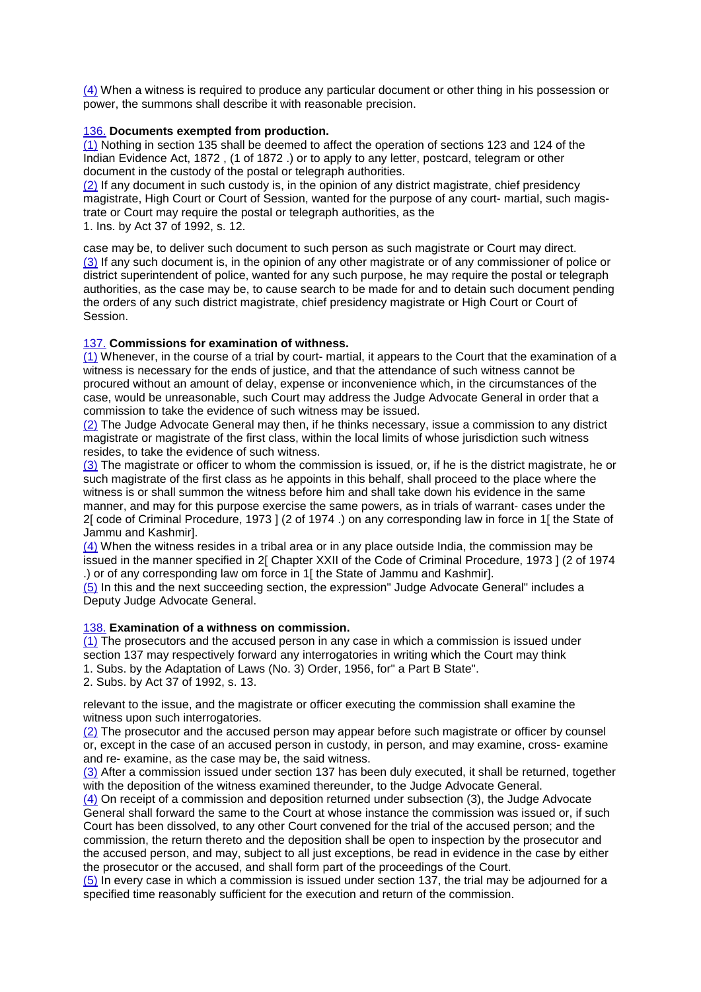(4) When a witness is required to produce any particular document or other thing in his possession or power, the summons shall describe it with reasonable precision.

#### 136. **Documents exempted from production.**

(1) Nothing in section 135 shall be deemed to affect the operation of sections 123 and 124 of the Indian Evidence Act, 1872 , (1 of 1872 .) or to apply to any letter, postcard, telegram or other document in the custody of the postal or telegraph authorities.

(2) If any document in such custody is, in the opinion of any district magistrate, chief presidency magistrate, High Court or Court of Session, wanted for the purpose of any court- martial, such magistrate or Court may require the postal or telegraph authorities, as the 1. Ins. by Act 37 of 1992, s. 12.

case may be, to deliver such document to such person as such magistrate or Court may direct. (3) If any such document is, in the opinion of any other magistrate or of any commissioner of police or district superintendent of police, wanted for any such purpose, he may require the postal or telegraph authorities, as the case may be, to cause search to be made for and to detain such document pending the orders of any such district magistrate, chief presidency magistrate or High Court or Court of Session.

# 137. **Commissions for examination of withness.**

(1) Whenever, in the course of a trial by court- martial, it appears to the Court that the examination of a witness is necessary for the ends of justice, and that the attendance of such witness cannot be procured without an amount of delay, expense or inconvenience which, in the circumstances of the case, would be unreasonable, such Court may address the Judge Advocate General in order that a commission to take the evidence of such witness may be issued.

(2) The Judge Advocate General may then, if he thinks necessary, issue a commission to any district magistrate or magistrate of the first class, within the local limits of whose jurisdiction such witness resides, to take the evidence of such witness.

(3) The magistrate or officer to whom the commission is issued, or, if he is the district magistrate, he or such magistrate of the first class as he appoints in this behalf, shall proceed to the place where the witness is or shall summon the witness before him and shall take down his evidence in the same manner, and may for this purpose exercise the same powers, as in trials of warrant- cases under the 2[ code of Criminal Procedure, 1973 ] (2 of 1974 .) on any corresponding law in force in 1[ the State of Jammu and Kashmir].

(4) When the witness resides in a tribal area or in any place outside India, the commission may be issued in the manner specified in 2[ Chapter XXII of the Code of Criminal Procedure, 1973 ] (2 of 1974 .) or of any corresponding law om force in 1[ the State of Jammu and Kashmir].

 $(5)$  In this and the next succeeding section, the expression" Judge Advocate General" includes a Deputy Judge Advocate General.

#### 138. **Examination of a withness on commission.**

(1) The prosecutors and the accused person in any case in which a commission is issued under section 137 may respectively forward any interrogatories in writing which the Court may think 1. Subs. by the Adaptation of Laws (No. 3) Order, 1956, for" a Part B State".

2. Subs. by Act 37 of 1992, s. 13.

relevant to the issue, and the magistrate or officer executing the commission shall examine the witness upon such interrogatories.

(2) The prosecutor and the accused person may appear before such magistrate or officer by counsel or, except in the case of an accused person in custody, in person, and may examine, cross- examine and re- examine, as the case may be, the said witness.

(3) After a commission issued under section 137 has been duly executed, it shall be returned, together with the deposition of the witness examined thereunder, to the Judge Advocate General.

(4) On receipt of a commission and deposition returned under subsection (3), the Judge Advocate General shall forward the same to the Court at whose instance the commission was issued or, if such Court has been dissolved, to any other Court convened for the trial of the accused person; and the commission, the return thereto and the deposition shall be open to inspection by the prosecutor and the accused person, and may, subject to all just exceptions, be read in evidence in the case by either the prosecutor or the accused, and shall form part of the proceedings of the Court.

(5) In every case in which a commission is issued under section 137, the trial may be adjourned for a specified time reasonably sufficient for the execution and return of the commission.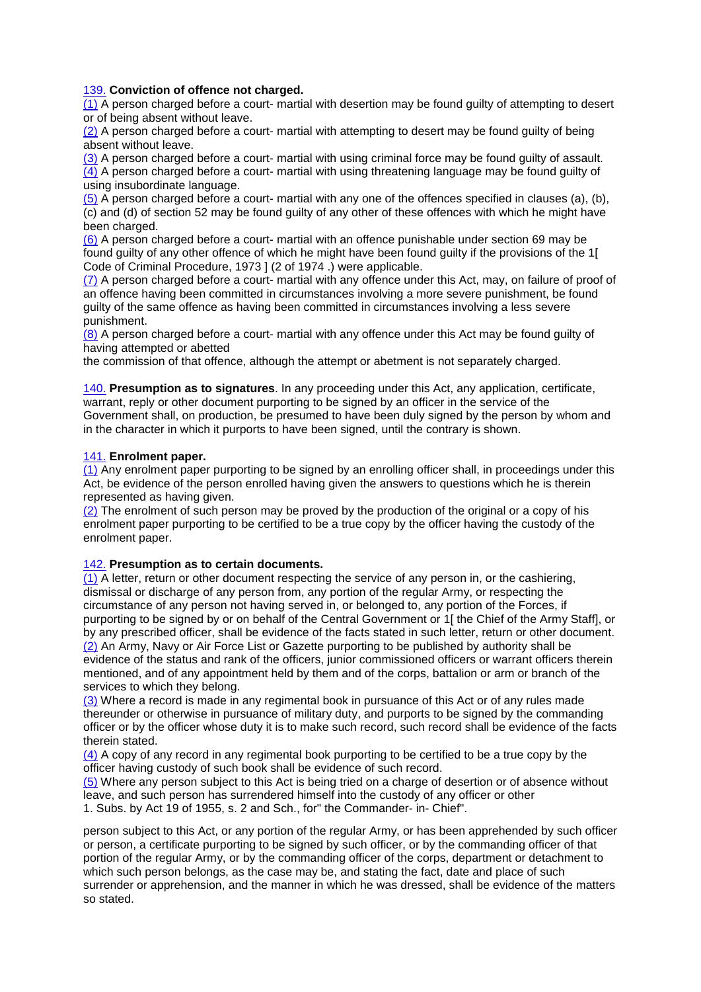# 139. **Conviction of offence not charged.**

(1) A person charged before a court- martial with desertion may be found guilty of attempting to desert or of being absent without leave.

(2) A person charged before a court- martial with attempting to desert may be found guilty of being absent without leave.

(3) A person charged before a court- martial with using criminal force may be found guilty of assault. (4) A person charged before a court- martial with using threatening language may be found guilty of using insubordinate language.

(5) A person charged before a court- martial with any one of the offences specified in clauses (a), (b), (c) and (d) of section 52 may be found guilty of any other of these offences with which he might have been charged.

(6) A person charged before a court- martial with an offence punishable under section 69 may be found guilty of any other offence of which he might have been found guilty if the provisions of the 1[ Code of Criminal Procedure, 1973 ] (2 of 1974 .) were applicable.

(7) A person charged before a court- martial with any offence under this Act, may, on failure of proof of an offence having been committed in circumstances involving a more severe punishment, be found guilty of the same offence as having been committed in circumstances involving a less severe punishment.

(8) A person charged before a court- martial with any offence under this Act may be found guilty of having attempted or abetted

the commission of that offence, although the attempt or abetment is not separately charged.

140. **Presumption as to signatures**. In any proceeding under this Act, any application, certificate, warrant, reply or other document purporting to be signed by an officer in the service of the Government shall, on production, be presumed to have been duly signed by the person by whom and in the character in which it purports to have been signed, until the contrary is shown.

# 141. **Enrolment paper.**

(1) Any enrolment paper purporting to be signed by an enrolling officer shall, in proceedings under this Act, be evidence of the person enrolled having given the answers to questions which he is therein represented as having given.

(2) The enrolment of such person may be proved by the production of the original or a copy of his enrolment paper purporting to be certified to be a true copy by the officer having the custody of the enrolment paper.

#### 142. **Presumption as to certain documents.**

(1) A letter, return or other document respecting the service of any person in, or the cashiering, dismissal or discharge of any person from, any portion of the regular Army, or respecting the circumstance of any person not having served in, or belonged to, any portion of the Forces, if purporting to be signed by or on behalf of the Central Government or 1[ the Chief of the Army Staff], or by any prescribed officer, shall be evidence of the facts stated in such letter, return or other document. (2) An Army, Navy or Air Force List or Gazette purporting to be published by authority shall be evidence of the status and rank of the officers, junior commissioned officers or warrant officers therein mentioned, and of any appointment held by them and of the corps, battalion or arm or branch of the services to which they belong.

(3) Where a record is made in any regimental book in pursuance of this Act or of any rules made thereunder or otherwise in pursuance of military duty, and purports to be signed by the commanding officer or by the officer whose duty it is to make such record, such record shall be evidence of the facts therein stated.

(4) A copy of any record in any regimental book purporting to be certified to be a true copy by the officer having custody of such book shall be evidence of such record.

(5) Where any person subject to this Act is being tried on a charge of desertion or of absence without leave, and such person has surrendered himself into the custody of any officer or other 1. Subs. by Act 19 of 1955, s. 2 and Sch., for" the Commander- in- Chief".

person subject to this Act, or any portion of the regular Army, or has been apprehended by such officer or person, a certificate purporting to be signed by such officer, or by the commanding officer of that portion of the regular Army, or by the commanding officer of the corps, department or detachment to which such person belongs, as the case may be, and stating the fact, date and place of such surrender or apprehension, and the manner in which he was dressed, shall be evidence of the matters so stated.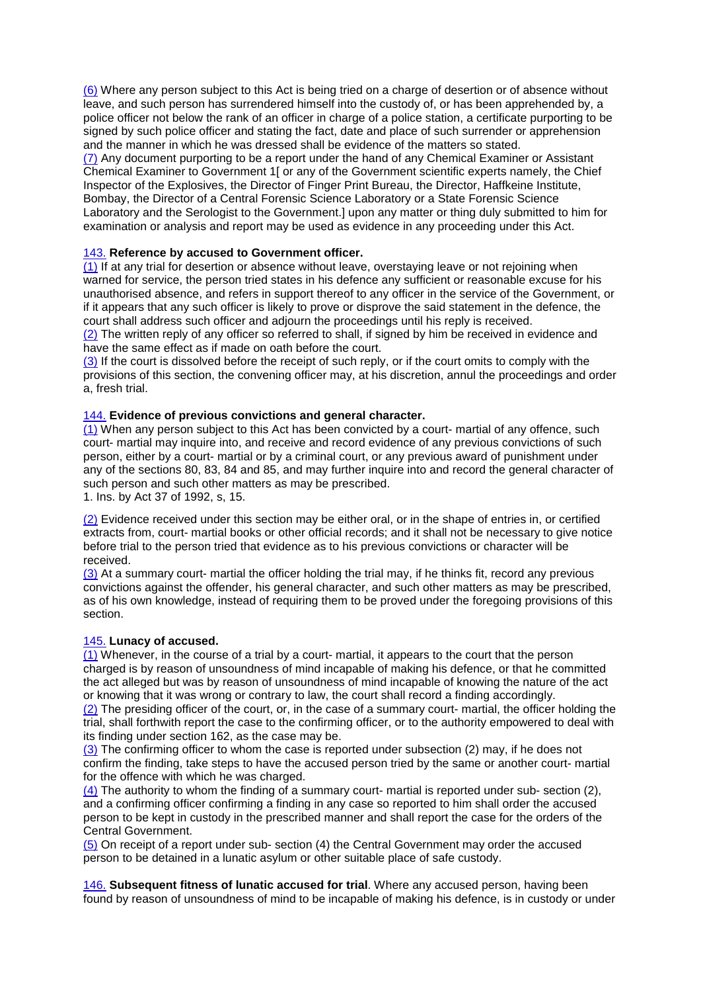(6) Where any person subject to this Act is being tried on a charge of desertion or of absence without leave, and such person has surrendered himself into the custody of, or has been apprehended by, a police officer not below the rank of an officer in charge of a police station, a certificate purporting to be signed by such police officer and stating the fact, date and place of such surrender or apprehension and the manner in which he was dressed shall be evidence of the matters so stated.

(7) Any document purporting to be a report under the hand of any Chemical Examiner or Assistant Chemical Examiner to Government 1[ or any of the Government scientific experts namely, the Chief Inspector of the Explosives, the Director of Finger Print Bureau, the Director, Haffkeine Institute, Bombay, the Director of a Central Forensic Science Laboratory or a State Forensic Science Laboratory and the Serologist to the Government.] upon any matter or thing duly submitted to him for examination or analysis and report may be used as evidence in any proceeding under this Act.

# 143. **Reference by accused to Government officer.**

(1) If at any trial for desertion or absence without leave, overstaying leave or not rejoining when warned for service, the person tried states in his defence any sufficient or reasonable excuse for his unauthorised absence, and refers in support thereof to any officer in the service of the Government, or if it appears that any such officer is likely to prove or disprove the said statement in the defence, the court shall address such officer and adjourn the proceedings until his reply is received.

(2) The written reply of any officer so referred to shall, if signed by him be received in evidence and have the same effect as if made on oath before the court.

(3) If the court is dissolved before the receipt of such reply, or if the court omits to comply with the provisions of this section, the convening officer may, at his discretion, annul the proceedings and order a, fresh trial.

#### 144. **Evidence of previous convictions and general character.**

(1) When any person subject to this Act has been convicted by a court- martial of any offence, such court- martial may inquire into, and receive and record evidence of any previous convictions of such person, either by a court- martial or by a criminal court, or any previous award of punishment under any of the sections 80, 83, 84 and 85, and may further inquire into and record the general character of such person and such other matters as may be prescribed.

1. Ins. by Act 37 of 1992, s, 15.

(2) Evidence received under this section may be either oral, or in the shape of entries in, or certified extracts from, court- martial books or other official records; and it shall not be necessary to give notice before trial to the person tried that evidence as to his previous convictions or character will be received.

(3) At a summary court- martial the officer holding the trial may, if he thinks fit, record any previous convictions against the offender, his general character, and such other matters as may be prescribed, as of his own knowledge, instead of requiring them to be proved under the foregoing provisions of this section.

#### 145. **Lunacy of accused.**

(1) Whenever, in the course of a trial by a court- martial, it appears to the court that the person charged is by reason of unsoundness of mind incapable of making his defence, or that he committed the act alleged but was by reason of unsoundness of mind incapable of knowing the nature of the act or knowing that it was wrong or contrary to law, the court shall record a finding accordingly.

(2) The presiding officer of the court, or, in the case of a summary court- martial, the officer holding the trial, shall forthwith report the case to the confirming officer, or to the authority empowered to deal with its finding under section 162, as the case may be.

(3) The confirming officer to whom the case is reported under subsection (2) may, if he does not confirm the finding, take steps to have the accused person tried by the same or another court- martial for the offence with which he was charged.

(4) The authority to whom the finding of a summary court- martial is reported under sub- section (2), and a confirming officer confirming a finding in any case so reported to him shall order the accused person to be kept in custody in the prescribed manner and shall report the case for the orders of the Central Government.

(5) On receipt of a report under sub- section (4) the Central Government may order the accused person to be detained in a lunatic asylum or other suitable place of safe custody.

146. **Subsequent fitness of lunatic accused for trial**. Where any accused person, having been found by reason of unsoundness of mind to be incapable of making his defence, is in custody or under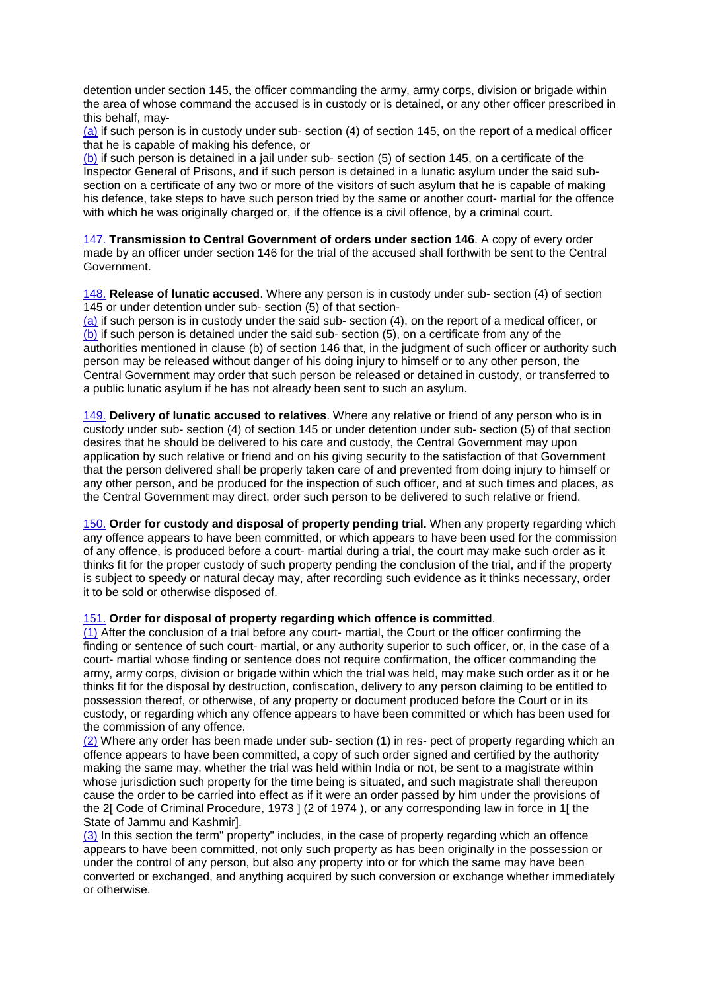detention under section 145, the officer commanding the army, army corps, division or brigade within the area of whose command the accused is in custody or is detained, or any other officer prescribed in this behalf, may-

(a) if such person is in custody under sub- section (4) of section 145, on the report of a medical officer that he is capable of making his defence, or

(b) if such person is detained in a jail under sub- section (5) of section 145, on a certificate of the Inspector General of Prisons, and if such person is detained in a lunatic asylum under the said subsection on a certificate of any two or more of the visitors of such asylum that he is capable of making his defence, take steps to have such person tried by the same or another court- martial for the offence with which he was originally charged or, if the offence is a civil offence, by a criminal court.

147. **Transmission to Central Government of orders under section 146**. A copy of every order made by an officer under section 146 for the trial of the accused shall forthwith be sent to the Central Government.

148. **Release of lunatic accused**. Where any person is in custody under sub- section (4) of section 145 or under detention under sub- section (5) of that section-

(a) if such person is in custody under the said sub- section (4), on the report of a medical officer, or (b) if such person is detained under the said sub- section (5), on a certificate from any of the authorities mentioned in clause (b) of section 146 that, in the judgment of such officer or authority such person may be released without danger of his doing injury to himself or to any other person, the Central Government may order that such person be released or detained in custody, or transferred to a public lunatic asylum if he has not already been sent to such an asylum.

149. **Delivery of lunatic accused to relatives**. Where any relative or friend of any person who is in custody under sub- section (4) of section 145 or under detention under sub- section (5) of that section desires that he should be delivered to his care and custody, the Central Government may upon application by such relative or friend and on his giving security to the satisfaction of that Government that the person delivered shall be properly taken care of and prevented from doing injury to himself or any other person, and be produced for the inspection of such officer, and at such times and places, as the Central Government may direct, order such person to be delivered to such relative or friend.

150. **Order for custody and disposal of property pending trial.** When any property regarding which any offence appears to have been committed, or which appears to have been used for the commission of any offence, is produced before a court- martial during a trial, the court may make such order as it thinks fit for the proper custody of such property pending the conclusion of the trial, and if the property is subject to speedy or natural decay may, after recording such evidence as it thinks necessary, order it to be sold or otherwise disposed of.

#### 151. **Order for disposal of property regarding which offence is committed**.

(1) After the conclusion of a trial before any court- martial, the Court or the officer confirming the finding or sentence of such court- martial, or any authority superior to such officer, or, in the case of a court- martial whose finding or sentence does not require confirmation, the officer commanding the army, army corps, division or brigade within which the trial was held, may make such order as it or he thinks fit for the disposal by destruction, confiscation, delivery to any person claiming to be entitled to possession thereof, or otherwise, of any property or document produced before the Court or in its custody, or regarding which any offence appears to have been committed or which has been used for the commission of any offence.

(2) Where any order has been made under sub- section (1) in res- pect of property regarding which an offence appears to have been committed, a copy of such order signed and certified by the authority making the same may, whether the trial was held within India or not, be sent to a magistrate within whose jurisdiction such property for the time being is situated, and such magistrate shall thereupon cause the order to be carried into effect as if it were an order passed by him under the provisions of the 2[ Code of Criminal Procedure, 1973 ] (2 of 1974 ), or any corresponding law in force in 1[ the State of Jammu and Kashmir].

(3) In this section the term" property" includes, in the case of property regarding which an offence appears to have been committed, not only such property as has been originally in the possession or under the control of any person, but also any property into or for which the same may have been converted or exchanged, and anything acquired by such conversion or exchange whether immediately or otherwise.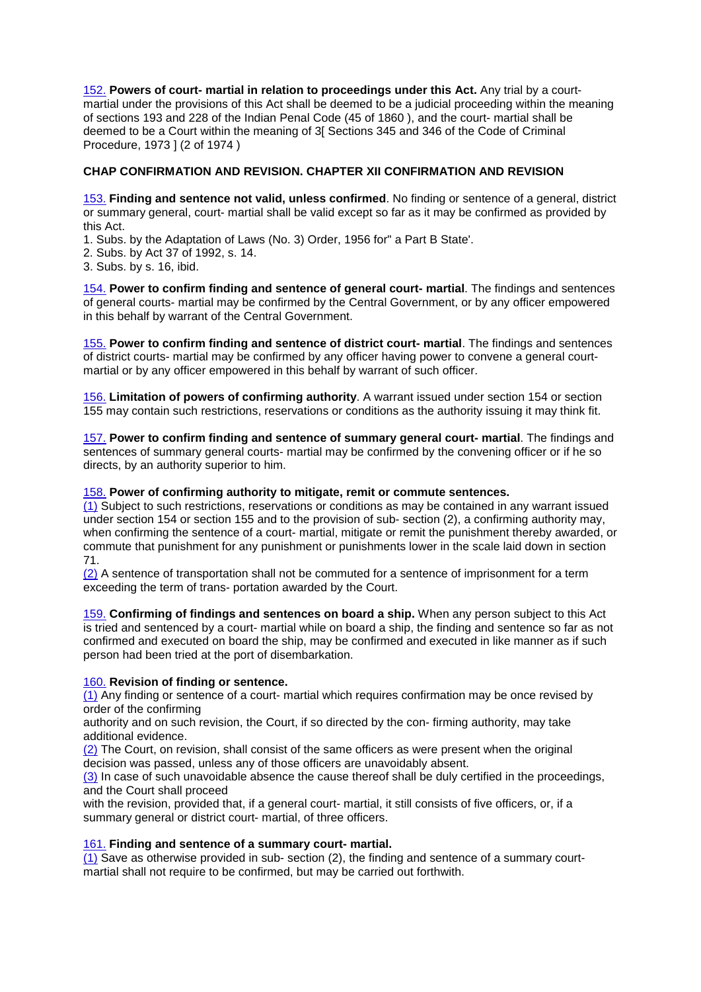152. **Powers of court- martial in relation to proceedings under this Act.** Any trial by a courtmartial under the provisions of this Act shall be deemed to be a judicial proceeding within the meaning of sections 193 and 228 of the Indian Penal Code (45 of 1860 ), and the court- martial shall be deemed to be a Court within the meaning of 3[ Sections 345 and 346 of the Code of Criminal Procedure, 1973 ] (2 of 1974 )

# **CHAP CONFIRMATION AND REVISION. CHAPTER XII CONFIRMATION AND REVISION**

153. **Finding and sentence not valid, unless confirmed**. No finding or sentence of a general, district or summary general, court- martial shall be valid except so far as it may be confirmed as provided by this Act.

1. Subs. by the Adaptation of Laws (No. 3) Order, 1956 for" a Part B State'.

2. Subs. by Act 37 of 1992, s. 14.

3. Subs. by s. 16, ibid.

154. **Power to confirm finding and sentence of general court- martial**. The findings and sentences of general courts- martial may be confirmed by the Central Government, or by any officer empowered in this behalf by warrant of the Central Government.

155. **Power to confirm finding and sentence of district court- martial**. The findings and sentences of district courts- martial may be confirmed by any officer having power to convene a general courtmartial or by any officer empowered in this behalf by warrant of such officer.

156. **Limitation of powers of confirming authority**. A warrant issued under section 154 or section 155 may contain such restrictions, reservations or conditions as the authority issuing it may think fit.

157. **Power to confirm finding and sentence of summary general court- martial**. The findings and sentences of summary general courts- martial may be confirmed by the convening officer or if he so directs, by an authority superior to him.

#### 158. **Power of confirming authority to mitigate, remit or commute sentences.**

(1) Subject to such restrictions, reservations or conditions as may be contained in any warrant issued under section 154 or section 155 and to the provision of sub- section (2), a confirming authority may, when confirming the sentence of a court- martial, mitigate or remit the punishment thereby awarded, or commute that punishment for any punishment or punishments lower in the scale laid down in section 71.

(2) A sentence of transportation shall not be commuted for a sentence of imprisonment for a term exceeding the term of trans- portation awarded by the Court.

159. **Confirming of findings and sentences on board a ship.** When any person subject to this Act is tried and sentenced by a court- martial while on board a ship, the finding and sentence so far as not confirmed and executed on board the ship, may be confirmed and executed in like manner as if such person had been tried at the port of disembarkation.

#### 160. **Revision of finding or sentence.**

(1) Any finding or sentence of a court- martial which requires confirmation may be once revised by order of the confirming

authority and on such revision, the Court, if so directed by the con- firming authority, may take additional evidence.

(2) The Court, on revision, shall consist of the same officers as were present when the original decision was passed, unless any of those officers are unavoidably absent.

(3) In case of such unavoidable absence the cause thereof shall be duly certified in the proceedings, and the Court shall proceed

with the revision, provided that, if a general court- martial, it still consists of five officers, or, if a summary general or district court- martial, of three officers.

#### 161. **Finding and sentence of a summary court- martial.**

 $(1)$  Save as otherwise provided in sub- section  $(2)$ , the finding and sentence of a summary courtmartial shall not require to be confirmed, but may be carried out forthwith.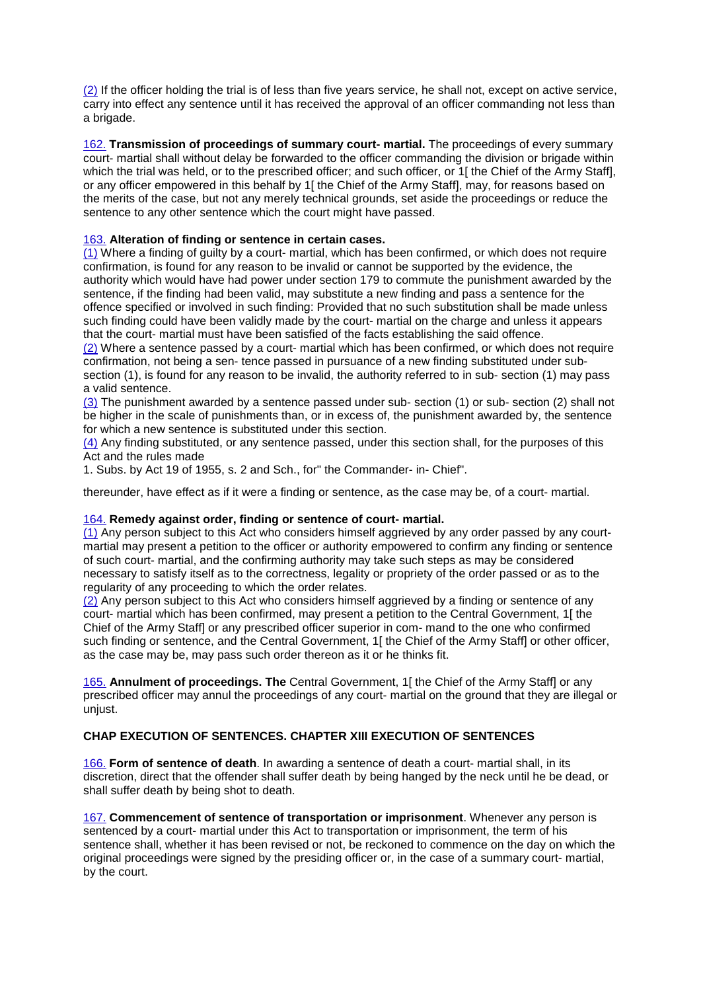(2) If the officer holding the trial is of less than five years service, he shall not, except on active service, carry into effect any sentence until it has received the approval of an officer commanding not less than a brigade.

162. **Transmission of proceedings of summary court- martial.** The proceedings of every summary court- martial shall without delay be forwarded to the officer commanding the division or brigade within which the trial was held, or to the prescribed officer; and such officer, or 1[ the Chief of the Army Staff], or any officer empowered in this behalf by 1[ the Chief of the Army Staff], may, for reasons based on the merits of the case, but not any merely technical grounds, set aside the proceedings or reduce the sentence to any other sentence which the court might have passed.

# 163. **Alteration of finding or sentence in certain cases.**

(1) Where a finding of guilty by a court- martial, which has been confirmed, or which does not require confirmation, is found for any reason to be invalid or cannot be supported by the evidence, the authority which would have had power under section 179 to commute the punishment awarded by the sentence, if the finding had been valid, may substitute a new finding and pass a sentence for the offence specified or involved in such finding: Provided that no such substitution shall be made unless such finding could have been validly made by the court- martial on the charge and unless it appears that the court- martial must have been satisfied of the facts establishing the said offence.

(2) Where a sentence passed by a court- martial which has been confirmed, or which does not require confirmation, not being a sen- tence passed in pursuance of a new finding substituted under subsection (1), is found for any reason to be invalid, the authority referred to in sub- section (1) may pass a valid sentence.

(3) The punishment awarded by a sentence passed under sub- section (1) or sub- section (2) shall not be higher in the scale of punishments than, or in excess of, the punishment awarded by, the sentence for which a new sentence is substituted under this section.

(4) Any finding substituted, or any sentence passed, under this section shall, for the purposes of this Act and the rules made

1. Subs. by Act 19 of 1955, s. 2 and Sch., for" the Commander- in- Chief".

thereunder, have effect as if it were a finding or sentence, as the case may be, of a court- martial.

#### 164. **Remedy against order, finding or sentence of court- martial.**

(1) Any person subject to this Act who considers himself aggrieved by any order passed by any courtmartial may present a petition to the officer or authority empowered to confirm any finding or sentence of such court- martial, and the confirming authority may take such steps as may be considered necessary to satisfy itself as to the correctness, legality or propriety of the order passed or as to the regularity of any proceeding to which the order relates.

(2) Any person subject to this Act who considers himself aggrieved by a finding or sentence of any court- martial which has been confirmed, may present a petition to the Central Government, 1[ the Chief of the Army Staff] or any prescribed officer superior in com- mand to the one who confirmed such finding or sentence, and the Central Government. 1[ the Chief of the Army Staff] or other officer, as the case may be, may pass such order thereon as it or he thinks fit.

165. **Annulment of proceedings. The** Central Government, 1[ the Chief of the Army Staff] or any prescribed officer may annul the proceedings of any court- martial on the ground that they are illegal or unjust.

#### **CHAP EXECUTION OF SENTENCES. CHAPTER XIII EXECUTION OF SENTENCES**

166. **Form of sentence of death**. In awarding a sentence of death a court- martial shall, in its discretion, direct that the offender shall suffer death by being hanged by the neck until he be dead, or shall suffer death by being shot to death.

167. **Commencement of sentence of transportation or imprisonment**. Whenever any person is sentenced by a court- martial under this Act to transportation or imprisonment, the term of his sentence shall, whether it has been revised or not, be reckoned to commence on the day on which the original proceedings were signed by the presiding officer or, in the case of a summary court- martial, by the court.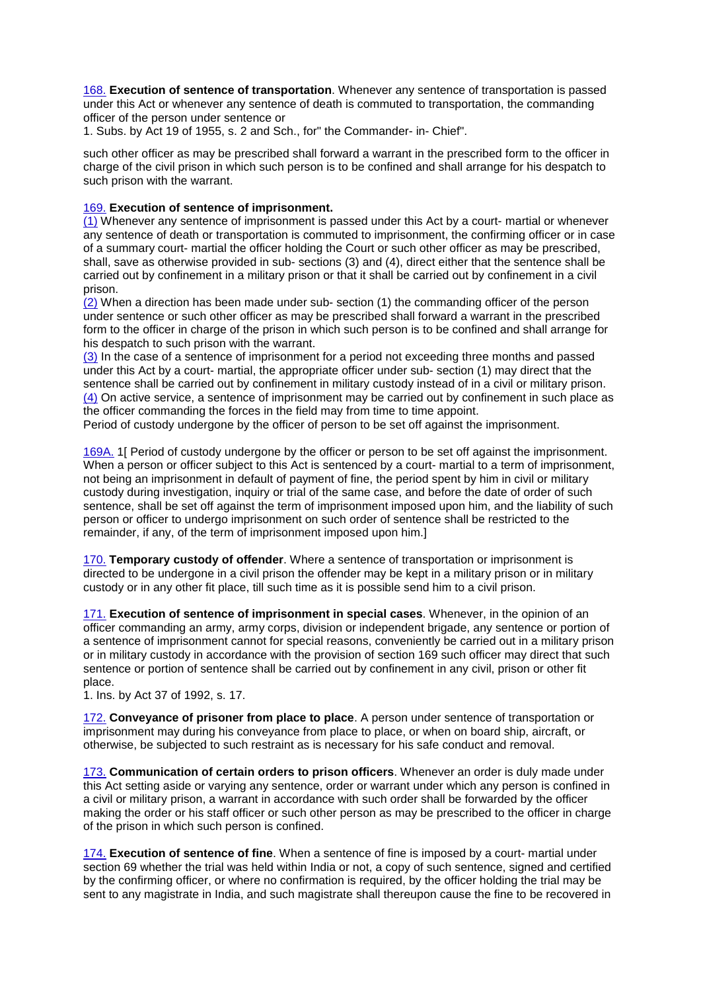168. **Execution of sentence of transportation**. Whenever any sentence of transportation is passed under this Act or whenever any sentence of death is commuted to transportation, the commanding officer of the person under sentence or

1. Subs. by Act 19 of 1955, s. 2 and Sch., for" the Commander- in- Chief".

such other officer as may be prescribed shall forward a warrant in the prescribed form to the officer in charge of the civil prison in which such person is to be confined and shall arrange for his despatch to such prison with the warrant.

# 169. **Execution of sentence of imprisonment.**

(1) Whenever any sentence of imprisonment is passed under this Act by a court- martial or whenever any sentence of death or transportation is commuted to imprisonment, the confirming officer or in case of a summary court- martial the officer holding the Court or such other officer as may be prescribed, shall, save as otherwise provided in sub- sections (3) and (4), direct either that the sentence shall be carried out by confinement in a military prison or that it shall be carried out by confinement in a civil prison.

(2) When a direction has been made under sub- section (1) the commanding officer of the person under sentence or such other officer as may be prescribed shall forward a warrant in the prescribed form to the officer in charge of the prison in which such person is to be confined and shall arrange for his despatch to such prison with the warrant.

(3) In the case of a sentence of imprisonment for a period not exceeding three months and passed under this Act by a court- martial, the appropriate officer under sub- section (1) may direct that the sentence shall be carried out by confinement in military custody instead of in a civil or military prison. (4) On active service, a sentence of imprisonment may be carried out by confinement in such place as the officer commanding the forces in the field may from time to time appoint.

Period of custody undergone by the officer of person to be set off against the imprisonment.

169A. 1[ Period of custody undergone by the officer or person to be set off against the imprisonment. When a person or officer subject to this Act is sentenced by a court- martial to a term of imprisonment, not being an imprisonment in default of payment of fine, the period spent by him in civil or military custody during investigation, inquiry or trial of the same case, and before the date of order of such sentence, shall be set off against the term of imprisonment imposed upon him, and the liability of such person or officer to undergo imprisonment on such order of sentence shall be restricted to the remainder, if any, of the term of imprisonment imposed upon him.]

170. **Temporary custody of offender**. Where a sentence of transportation or imprisonment is directed to be undergone in a civil prison the offender may be kept in a military prison or in military custody or in any other fit place, till such time as it is possible send him to a civil prison.

171. **Execution of sentence of imprisonment in special cases**. Whenever, in the opinion of an officer commanding an army, army corps, division or independent brigade, any sentence or portion of a sentence of imprisonment cannot for special reasons, conveniently be carried out in a military prison or in military custody in accordance with the provision of section 169 such officer may direct that such sentence or portion of sentence shall be carried out by confinement in any civil, prison or other fit place.

1. Ins. by Act 37 of 1992, s. 17.

172. **Conveyance of prisoner from place to place**. A person under sentence of transportation or imprisonment may during his conveyance from place to place, or when on board ship, aircraft, or otherwise, be subjected to such restraint as is necessary for his safe conduct and removal.

173. **Communication of certain orders to prison officers**. Whenever an order is duly made under this Act setting aside or varying any sentence, order or warrant under which any person is confined in a civil or military prison, a warrant in accordance with such order shall be forwarded by the officer making the order or his staff officer or such other person as may be prescribed to the officer in charge of the prison in which such person is confined.

174. **Execution of sentence of fine**. When a sentence of fine is imposed by a court- martial under section 69 whether the trial was held within India or not, a copy of such sentence, signed and certified by the confirming officer, or where no confirmation is required, by the officer holding the trial may be sent to any magistrate in India, and such magistrate shall thereupon cause the fine to be recovered in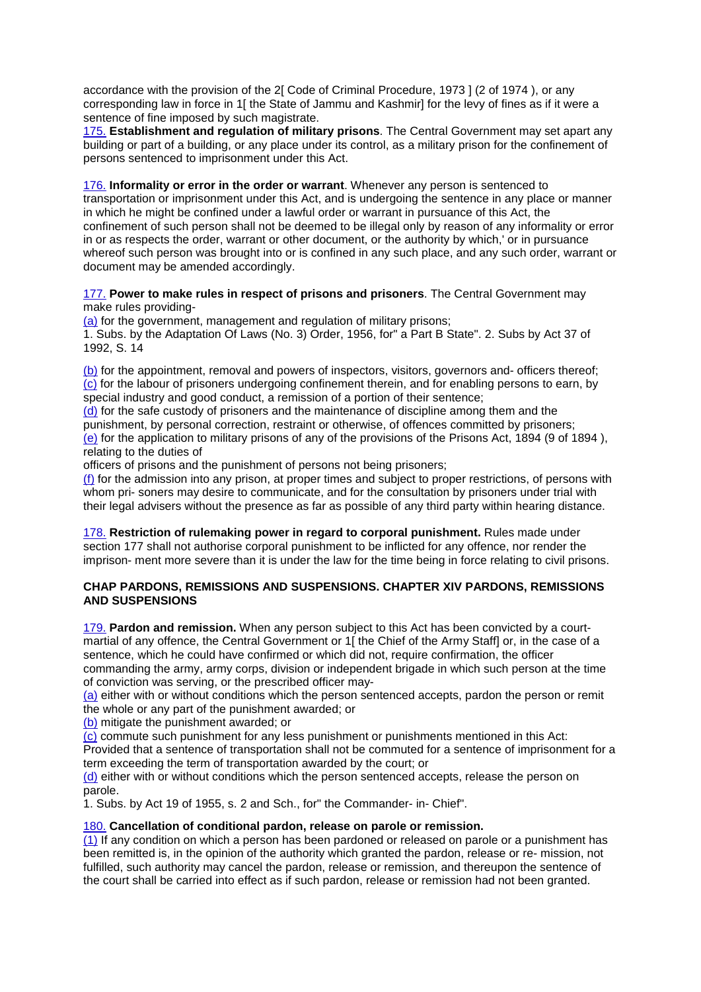accordance with the provision of the 2[ Code of Criminal Procedure, 1973 ] (2 of 1974 ), or any corresponding law in force in 1[ the State of Jammu and Kashmir] for the levy of fines as if it were a sentence of fine imposed by such magistrate.

175. **Establishment and regulation of military prisons**. The Central Government may set apart any building or part of a building, or any place under its control, as a military prison for the confinement of persons sentenced to imprisonment under this Act.

176. **Informality or error in the order or warrant**. Whenever any person is sentenced to transportation or imprisonment under this Act, and is undergoing the sentence in any place or manner in which he might be confined under a lawful order or warrant in pursuance of this Act, the confinement of such person shall not be deemed to be illegal only by reason of any informality or error in or as respects the order, warrant or other document, or the authority by which,' or in pursuance whereof such person was brought into or is confined in any such place, and any such order, warrant or document may be amended accordingly.

177. **Power to make rules in respect of prisons and prisoners**. The Central Government may make rules providing-

(a) for the government, management and regulation of military prisons;

1. Subs. by the Adaptation Of Laws (No. 3) Order, 1956, for" a Part B State". 2. Subs by Act 37 of 1992, S. 14

(b) for the appointment, removal and powers of inspectors, visitors, governors and- officers thereof; (c) for the labour of prisoners undergoing confinement therein, and for enabling persons to earn, by special industry and good conduct, a remission of a portion of their sentence;

(d) for the safe custody of prisoners and the maintenance of discipline among them and the punishment, by personal correction, restraint or otherwise, of offences committed by prisoners; (e) for the application to military prisons of any of the provisions of the Prisons Act, 1894 (9 of 1894 ), relating to the duties of

officers of prisons and the punishment of persons not being prisoners;

(f) for the admission into any prison, at proper times and subject to proper restrictions, of persons with whom pri- soners may desire to communicate, and for the consultation by prisoners under trial with their legal advisers without the presence as far as possible of any third party within hearing distance.

178. **Restriction of rulemaking power in regard to corporal punishment.** Rules made under section 177 shall not authorise corporal punishment to be inflicted for any offence, nor render the imprison- ment more severe than it is under the law for the time being in force relating to civil prisons.

# **CHAP PARDONS, REMISSIONS AND SUSPENSIONS. CHAPTER XIV PARDONS, REMISSIONS AND SUSPENSIONS**

179. **Pardon and remission.** When any person subject to this Act has been convicted by a courtmartial of any offence, the Central Government or 1[ the Chief of the Army Staff] or, in the case of a sentence, which he could have confirmed or which did not, require confirmation, the officer commanding the army, army corps, division or independent brigade in which such person at the time of conviction was serving, or the prescribed officer may-

(a) either with or without conditions which the person sentenced accepts, pardon the person or remit the whole or any part of the punishment awarded; or

(b) mitigate the punishment awarded; or

(c) commute such punishment for any less punishment or punishments mentioned in this Act:

Provided that a sentence of transportation shall not be commuted for a sentence of imprisonment for a term exceeding the term of transportation awarded by the court; or

(d) either with or without conditions which the person sentenced accepts, release the person on parole.

1. Subs. by Act 19 of 1955, s. 2 and Sch., for" the Commander- in- Chief".

# 180. **Cancellation of conditional pardon, release on parole or remission.**

(1) If any condition on which a person has been pardoned or released on parole or a punishment has been remitted is, in the opinion of the authority which granted the pardon, release or re- mission, not fulfilled, such authority may cancel the pardon, release or remission, and thereupon the sentence of the court shall be carried into effect as if such pardon, release or remission had not been granted.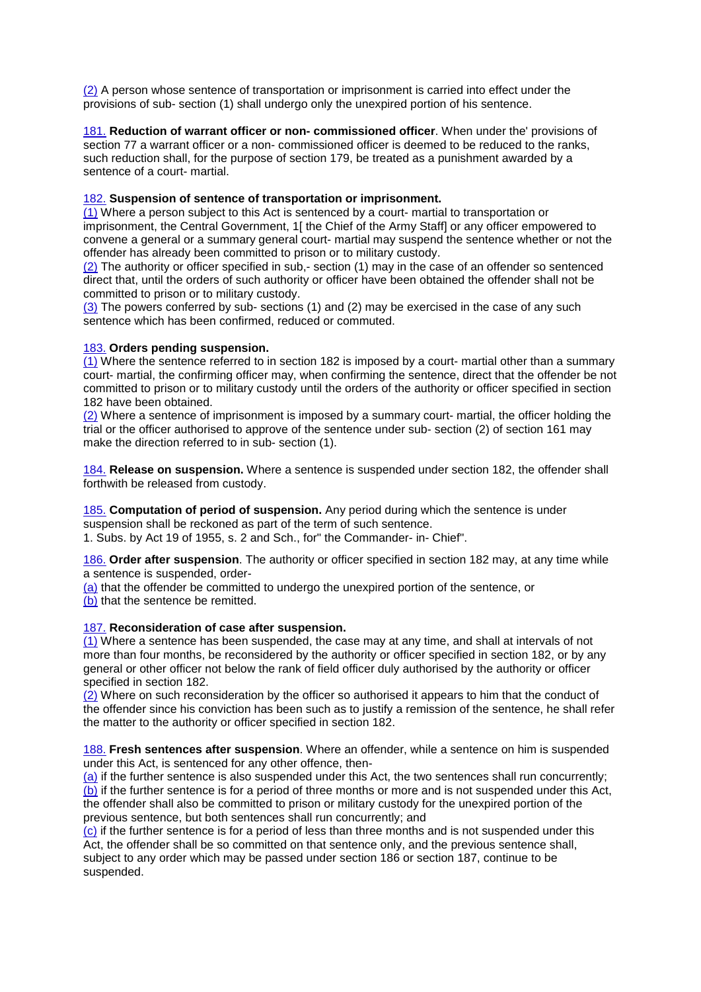(2) A person whose sentence of transportation or imprisonment is carried into effect under the provisions of sub- section (1) shall undergo only the unexpired portion of his sentence.

181. **Reduction of warrant officer or non- commissioned officer**. When under the' provisions of section 77 a warrant officer or a non- commissioned officer is deemed to be reduced to the ranks, such reduction shall, for the purpose of section 179, be treated as a punishment awarded by a sentence of a court- martial.

#### 182. **Suspension of sentence of transportation or imprisonment.**

(1) Where a person subject to this Act is sentenced by a court- martial to transportation or imprisonment, the Central Government, 1[ the Chief of the Army Staff] or any officer empowered to convene a general or a summary general court- martial may suspend the sentence whether or not the offender has already been committed to prison or to military custody.

(2) The authority or officer specified in sub,- section (1) may in the case of an offender so sentenced direct that, until the orders of such authority or officer have been obtained the offender shall not be committed to prison or to military custody.

(3) The powers conferred by sub- sections (1) and (2) may be exercised in the case of any such sentence which has been confirmed, reduced or commuted.

# 183. **Orders pending suspension.**

(1) Where the sentence referred to in section 182 is imposed by a court- martial other than a summary court- martial, the confirming officer may, when confirming the sentence, direct that the offender be not committed to prison or to military custody until the orders of the authority or officer specified in section 182 have been obtained.

(2) Where a sentence of imprisonment is imposed by a summary court- martial, the officer holding the trial or the officer authorised to approve of the sentence under sub- section (2) of section 161 may make the direction referred to in sub- section (1).

184. **Release on suspension.** Where a sentence is suspended under section 182, the offender shall forthwith be released from custody.

185. **Computation of period of suspension.** Any period during which the sentence is under suspension shall be reckoned as part of the term of such sentence. 1. Subs. by Act 19 of 1955, s. 2 and Sch., for" the Commander- in- Chief".

186. **Order after suspension**. The authority or officer specified in section 182 may, at any time while a sentence is suspended, order-

(a) that the offender be committed to undergo the unexpired portion of the sentence, or (b) that the sentence be remitted.

#### 187. **Reconsideration of case after suspension.**

(1) Where a sentence has been suspended, the case may at any time, and shall at intervals of not more than four months, be reconsidered by the authority or officer specified in section 182, or by any general or other officer not below the rank of field officer duly authorised by the authority or officer specified in section 182.

(2) Where on such reconsideration by the officer so authorised it appears to him that the conduct of the offender since his conviction has been such as to justify a remission of the sentence, he shall refer the matter to the authority or officer specified in section 182.

188. **Fresh sentences after suspension**. Where an offender, while a sentence on him is suspended under this Act, is sentenced for any other offence, then-

(a) if the further sentence is also suspended under this Act, the two sentences shall run concurrently; (b) if the further sentence is for a period of three months or more and is not suspended under this Act, the offender shall also be committed to prison or military custody for the unexpired portion of the previous sentence, but both sentences shall run concurrently; and

 $(c)$  if the further sentence is for a period of less than three months and is not suspended under this Act, the offender shall be so committed on that sentence only, and the previous sentence shall, subject to any order which may be passed under section 186 or section 187, continue to be suspended.